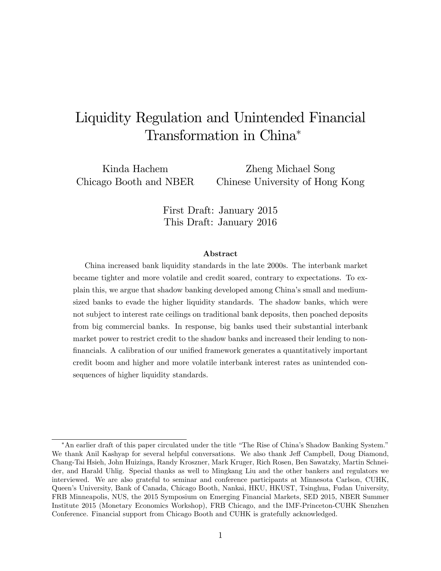# Liquidity Regulation and Unintended Financial Transformation in China

Kinda Hachem Chicago Booth and NBER

Zheng Michael Song Chinese University of Hong Kong

First Draft: January 2015 This Draft: January 2016

#### Abstract

China increased bank liquidity standards in the late 2000s. The interbank market became tighter and more volatile and credit soared, contrary to expectations. To explain this, we argue that shadow banking developed among Chinaís small and mediumsized banks to evade the higher liquidity standards. The shadow banks, which were not subject to interest rate ceilings on traditional bank deposits, then poached deposits from big commercial banks. In response, big banks used their substantial interbank market power to restrict credit to the shadow banks and increased their lending to nonfinancials. A calibration of our unified framework generates a quantitatively important credit boom and higher and more volatile interbank interest rates as unintended consequences of higher liquidity standards.

<sup>\*</sup>An earlier draft of this paper circulated under the title "The Rise of China's Shadow Banking System." We thank Anil Kashyap for several helpful conversations. We also thank Jeff Campbell, Doug Diamond, Chang-Tai Hsieh, John Huizinga, Randy Kroszner, Mark Kruger, Rich Rosen, Ben Sawatzky, Martin Schneider, and Harald Uhlig. Special thanks as well to Mingkang Liu and the other bankers and regulators we interviewed. We are also grateful to seminar and conference participants at Minnesota Carlson, CUHK, Queenís University, Bank of Canada, Chicago Booth, Nankai, HKU, HKUST, Tsinghua, Fudan University, FRB Minneapolis, NUS, the 2015 Symposium on Emerging Financial Markets, SED 2015, NBER Summer Institute 2015 (Monetary Economics Workshop), FRB Chicago, and the IMF-Princeton-CUHK Shenzhen Conference. Financial support from Chicago Booth and CUHK is gratefully acknowledged.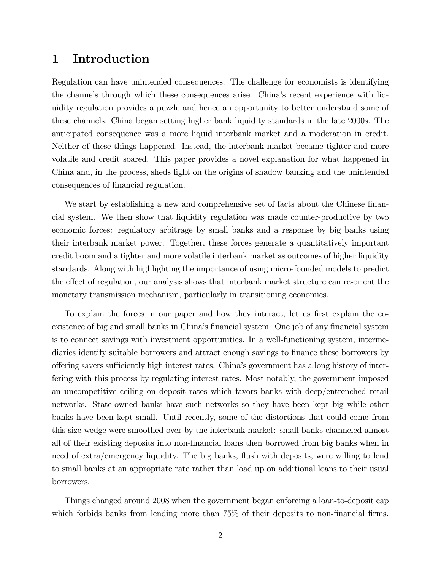### 1 Introduction

Regulation can have unintended consequences. The challenge for economists is identifying the channels through which these consequences arise. China's recent experience with liquidity regulation provides a puzzle and hence an opportunity to better understand some of these channels. China began setting higher bank liquidity standards in the late 2000s. The anticipated consequence was a more liquid interbank market and a moderation in credit. Neither of these things happened. Instead, the interbank market became tighter and more volatile and credit soared. This paper provides a novel explanation for what happened in China and, in the process, sheds light on the origins of shadow banking and the unintended consequences of financial regulation.

We start by establishing a new and comprehensive set of facts about the Chinese financial system. We then show that liquidity regulation was made counter-productive by two economic forces: regulatory arbitrage by small banks and a response by big banks using their interbank market power. Together, these forces generate a quantitatively important credit boom and a tighter and more volatile interbank market as outcomes of higher liquidity standards. Along with highlighting the importance of using micro-founded models to predict the effect of regulation, our analysis shows that interbank market structure can re-orient the monetary transmission mechanism, particularly in transitioning economies.

To explain the forces in our paper and how they interact, let us first explain the coexistence of big and small banks in China's financial system. One job of any financial system is to connect savings with investment opportunities. In a well-functioning system, intermediaries identify suitable borrowers and attract enough savings to finance these borrowers by offering savers sufficiently high interest rates. China's government has a long history of interfering with this process by regulating interest rates. Most notably, the government imposed an uncompetitive ceiling on deposit rates which favors banks with deep/entrenched retail networks. State-owned banks have such networks so they have been kept big while other banks have been kept small. Until recently, some of the distortions that could come from this size wedge were smoothed over by the interbank market: small banks channeled almost all of their existing deposits into non-Önancial loans then borrowed from big banks when in need of extra/emergency liquidity. The big banks, flush with deposits, were willing to lend to small banks at an appropriate rate rather than load up on additional loans to their usual borrowers.

Things changed around 2008 when the government began enforcing a loan-to-deposit cap which forbids banks from lending more than  $75\%$  of their deposits to non-financial firms.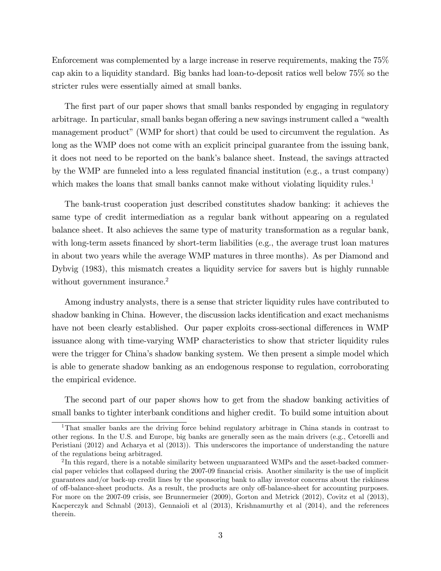Enforcement was complemented by a large increase in reserve requirements, making the 75% cap akin to a liquidity standard. Big banks had loan-to-deposit ratios well below 75% so the stricter rules were essentially aimed at small banks.

The first part of our paper shows that small banks responded by engaging in regulatory arbitrage. In particular, small banks began offering a new savings instrument called a "wealth" management product" (WMP for short) that could be used to circumvent the regulation. As long as the WMP does not come with an explicit principal guarantee from the issuing bank, it does not need to be reported on the bank's balance sheet. Instead, the savings attracted by the WMP are funneled into a less regulated financial institution (e.g., a trust company) which makes the loans that small banks cannot make without violating liquidity rules. $1$ 

The bank-trust cooperation just described constitutes shadow banking: it achieves the same type of credit intermediation as a regular bank without appearing on a regulated balance sheet. It also achieves the same type of maturity transformation as a regular bank, with long-term assets financed by short-term liabilities (e.g., the average trust loan matures in about two years while the average WMP matures in three months). As per Diamond and Dybvig (1983), this mismatch creates a liquidity service for savers but is highly runnable without government insurance.<sup>2</sup>

Among industry analysts, there is a sense that stricter liquidity rules have contributed to shadow banking in China. However, the discussion lacks identification and exact mechanisms have not been clearly established. Our paper exploits cross-sectional differences in WMP issuance along with time-varying WMP characteristics to show that stricter liquidity rules were the trigger for China's shadow banking system. We then present a simple model which is able to generate shadow banking as an endogenous response to regulation, corroborating the empirical evidence.

The second part of our paper shows how to get from the shadow banking activities of small banks to tighter interbank conditions and higher credit. To build some intuition about

<sup>1</sup>That smaller banks are the driving force behind regulatory arbitrage in China stands in contrast to other regions. In the U.S. and Europe, big banks are generally seen as the main drivers (e.g., Cetorelli and Peristiani (2012) and Acharya et al (2013)). This underscores the importance of understanding the nature of the regulations being arbitraged.

 $2 \text{In this regard, there is a notable similarity between unguaranteed WMPs and the asset-based commertector.}$ cial paper vehicles that collapsed during the 2007-09 Önancial crisis. Another similarity is the use of implicit guarantees and/or back-up credit lines by the sponsoring bank to allay investor concerns about the riskiness of off-balance-sheet products. As a result, the products are only off-balance-sheet for accounting purposes. For more on the 2007-09 crisis, see Brunnermeier (2009), Gorton and Metrick (2012), Covitz et al (2013), Kacperczyk and Schnabl (2013), Gennaioli et al (2013), Krishnamurthy et al (2014), and the references therein.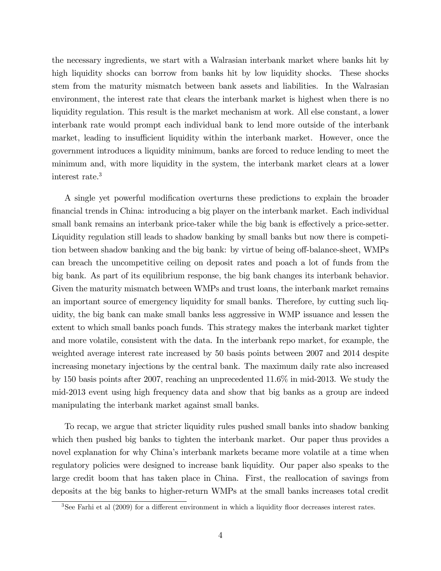the necessary ingredients, we start with a Walrasian interbank market where banks hit by high liquidity shocks can borrow from banks hit by low liquidity shocks. These shocks stem from the maturity mismatch between bank assets and liabilities. In the Walrasian environment, the interest rate that clears the interbank market is highest when there is no liquidity regulation. This result is the market mechanism at work. All else constant, a lower interbank rate would prompt each individual bank to lend more outside of the interbank market, leading to insufficient liquidity within the interbank market. However, once the government introduces a liquidity minimum, banks are forced to reduce lending to meet the minimum and, with more liquidity in the system, the interbank market clears at a lower interest rate.<sup>3</sup>

A single yet powerful modification overturns these predictions to explain the broader Önancial trends in China: introducing a big player on the interbank market. Each individual small bank remains an interbank price-taker while the big bank is effectively a price-setter. Liquidity regulation still leads to shadow banking by small banks but now there is competition between shadow banking and the big bank: by virtue of being off-balance-sheet, WMPs can breach the uncompetitive ceiling on deposit rates and poach a lot of funds from the big bank. As part of its equilibrium response, the big bank changes its interbank behavior. Given the maturity mismatch between WMPs and trust loans, the interbank market remains an important source of emergency liquidity for small banks. Therefore, by cutting such liquidity, the big bank can make small banks less aggressive in WMP issuance and lessen the extent to which small banks poach funds. This strategy makes the interbank market tighter and more volatile, consistent with the data. In the interbank repo market, for example, the weighted average interest rate increased by 50 basis points between 2007 and 2014 despite increasing monetary injections by the central bank. The maximum daily rate also increased by 150 basis points after 2007, reaching an unprecedented 11.6% in mid-2013. We study the mid-2013 event using high frequency data and show that big banks as a group are indeed manipulating the interbank market against small banks.

To recap, we argue that stricter liquidity rules pushed small banks into shadow banking which then pushed big banks to tighten the interbank market. Our paper thus provides a novel explanation for why China's interbank markets became more volatile at a time when regulatory policies were designed to increase bank liquidity. Our paper also speaks to the large credit boom that has taken place in China. First, the reallocation of savings from deposits at the big banks to higher-return WMPs at the small banks increases total credit

 $3$ See Farhi et al (2009) for a different environment in which a liquidity floor decreases interest rates.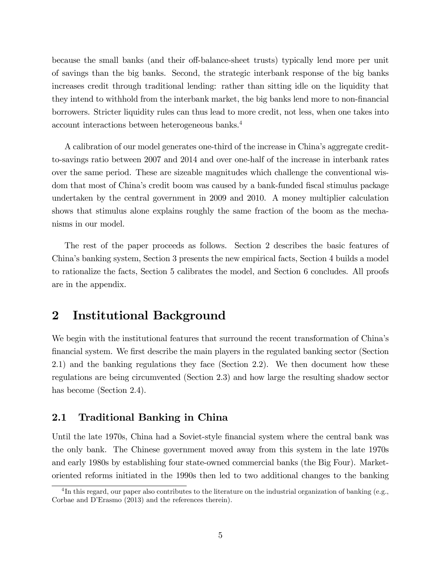because the small banks (and their off-balance-sheet trusts) typically lend more per unit of savings than the big banks. Second, the strategic interbank response of the big banks increases credit through traditional lending: rather than sitting idle on the liquidity that they intend to withhold from the interbank market, the big banks lend more to non-financial borrowers. Stricter liquidity rules can thus lead to more credit, not less, when one takes into account interactions between heterogeneous banks.<sup>4</sup>

A calibration of our model generates one-third of the increase in Chinaís aggregate creditto-savings ratio between 2007 and 2014 and over one-half of the increase in interbank rates over the same period. These are sizeable magnitudes which challenge the conventional wisdom that most of China's credit boom was caused by a bank-funded fiscal stimulus package undertaken by the central government in 2009 and 2010. A money multiplier calculation shows that stimulus alone explains roughly the same fraction of the boom as the mechanisms in our model.

The rest of the paper proceeds as follows. Section 2 describes the basic features of Chinaís banking system, Section 3 presents the new empirical facts, Section 4 builds a model to rationalize the facts, Section 5 calibrates the model, and Section 6 concludes. All proofs are in the appendix.

### 2 Institutional Background

We begin with the institutional features that surround the recent transformation of China's Önancial system. We Örst describe the main players in the regulated banking sector (Section 2.1) and the banking regulations they face (Section 2.2). We then document how these regulations are being circumvented (Section 2.3) and how large the resulting shadow sector has become (Section 2.4).

### 2.1 Traditional Banking in China

Until the late 1970s, China had a Soviet-style financial system where the central bank was the only bank. The Chinese government moved away from this system in the late 1970s and early 1980s by establishing four state-owned commercial banks (the Big Four). Marketoriented reforms initiated in the 1990s then led to two additional changes to the banking

<sup>&</sup>lt;sup>4</sup>In this regard, our paper also contributes to the literature on the industrial organization of banking (e.g., Corbae and D'Erasmo (2013) and the references therein).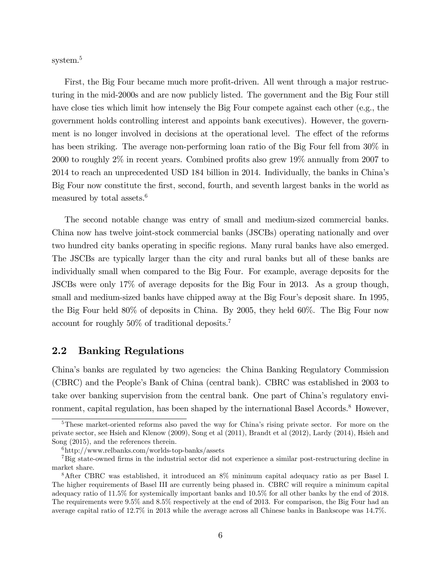system.<sup>5</sup>

First, the Big Four became much more profit-driven. All went through a major restructuring in the mid-2000s and are now publicly listed. The government and the Big Four still have close ties which limit how intensely the Big Four compete against each other (e.g., the government holds controlling interest and appoints bank executives). However, the government is no longer involved in decisions at the operational level. The effect of the reforms has been striking. The average non-performing loan ratio of the Big Four fell from  $30\%$  in 2000 to roughly  $2\%$  in recent years. Combined profits also grew  $19\%$  annually from 2007 to 2014 to reach an unprecedented USD 184 billion in 2014. Individually, the banks in Chinaís Big Four now constitute the first, second, fourth, and seventh largest banks in the world as measured by total assets.<sup>6</sup>

The second notable change was entry of small and medium-sized commercial banks. China now has twelve joint-stock commercial banks (JSCBs) operating nationally and over two hundred city banks operating in specific regions. Many rural banks have also emerged. The JSCBs are typically larger than the city and rural banks but all of these banks are individually small when compared to the Big Four. For example, average deposits for the JSCBs were only 17% of average deposits for the Big Four in 2013. As a group though, small and medium-sized banks have chipped away at the Big Four's deposit share. In 1995, the Big Four held 80% of deposits in China. By 2005, they held 60%. The Big Four now account for roughly 50% of traditional deposits.<sup>7</sup>

#### 2.2 Banking Regulations

Chinaís banks are regulated by two agencies: the China Banking Regulatory Commission (CBRC) and the Peopleís Bank of China (central bank). CBRC was established in 2003 to take over banking supervision from the central bank. One part of China's regulatory environment, capital regulation, has been shaped by the international Basel Accords.<sup>8</sup> However,

<sup>&</sup>lt;sup>5</sup>These market-oriented reforms also paved the way for China's rising private sector. For more on the private sector, see Hsieh and Klenow (2009), Song et al (2011), Brandt et al (2012), Lardy (2014), Hsieh and Song (2015), and the references therein.

 $6$ http://www.relbanks.com/worlds-top-banks/assets

<sup>&</sup>lt;sup>7</sup>Big state-owned firms in the industrial sector did not experience a similar post-restructuring decline in market share.

<sup>8</sup>After CBRC was established, it introduced an 8% minimum capital adequacy ratio as per Basel I. The higher requirements of Basel III are currently being phased in. CBRC will require a minimum capital adequacy ratio of 11.5% for systemically important banks and 10.5% for all other banks by the end of 2018. The requirements were 9.5% and 8.5% respectively at the end of 2013. For comparison, the Big Four had an average capital ratio of 12.7% in 2013 while the average across all Chinese banks in Bankscope was 14.7%.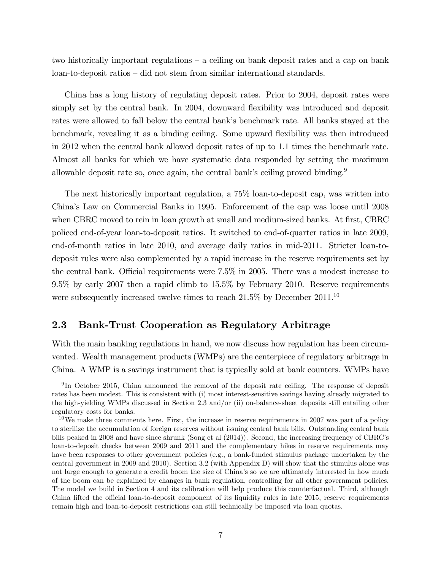two historically important regulations  $-$  a ceiling on bank deposit rates and a cap on bank loan-to-deposit ratios – did not stem from similar international standards.

China has a long history of regulating deposit rates. Prior to 2004, deposit rates were simply set by the central bank. In 2004, downward flexibility was introduced and deposit rates were allowed to fall below the central bank's benchmark rate. All banks stayed at the benchmark, revealing it as a binding ceiling. Some upward áexibility was then introduced in 2012 when the central bank allowed deposit rates of up to 1.1 times the benchmark rate. Almost all banks for which we have systematic data responded by setting the maximum allowable deposit rate so, once again, the central bank's ceiling proved binding. $9$ 

The next historically important regulation, a 75% loan-to-deposit cap, was written into Chinaís Law on Commercial Banks in 1995. Enforcement of the cap was loose until 2008 when CBRC moved to rein in loan growth at small and medium-sized banks. At first, CBRC policed end-of-year loan-to-deposit ratios. It switched to end-of-quarter ratios in late 2009, end-of-month ratios in late 2010, and average daily ratios in mid-2011. Stricter loan-todeposit rules were also complemented by a rapid increase in the reserve requirements set by the central bank. Official requirements were  $7.5\%$  in 2005. There was a modest increase to 9.5% by early 2007 then a rapid climb to 15.5% by February 2010. Reserve requirements were subsequently increased twelve times to reach  $21.5\%$  by December  $2011$ .<sup>10</sup>

### 2.3 Bank-Trust Cooperation as Regulatory Arbitrage

With the main banking regulations in hand, we now discuss how regulation has been circumvented. Wealth management products (WMPs) are the centerpiece of regulatory arbitrage in China. A WMP is a savings instrument that is typically sold at bank counters. WMPs have

<sup>&</sup>lt;sup>9</sup>In October 2015, China announced the removal of the deposit rate ceiling. The response of deposit rates has been modest. This is consistent with (i) most interest-sensitive savings having already migrated to the high-yielding WMPs discussed in Section 2.3 and/or (ii) on-balance-sheet deposits still entailing other regulatory costs for banks.

 $10$ We make three comments here. First, the increase in reserve requirements in 2007 was part of a policy to sterilize the accumulation of foreign reserves without issuing central bank bills. Outstanding central bank bills peaked in 2008 and have since shrunk (Song et al  $(2014)$ ). Second, the increasing frequency of CBRC's loan-to-deposit checks between 2009 and 2011 and the complementary hikes in reserve requirements may have been responses to other government policies (e.g., a bank-funded stimulus package undertaken by the central government in 2009 and 2010). Section 3.2 (with Appendix D) will show that the stimulus alone was not large enough to generate a credit boom the size of China's so we are ultimately interested in how much of the boom can be explained by changes in bank regulation, controlling for all other government policies. The model we build in Section 4 and its calibration will help produce this counterfactual. Third, although China lifted the official loan-to-deposit component of its liquidity rules in late 2015, reserve requirements remain high and loan-to-deposit restrictions can still technically be imposed via loan quotas.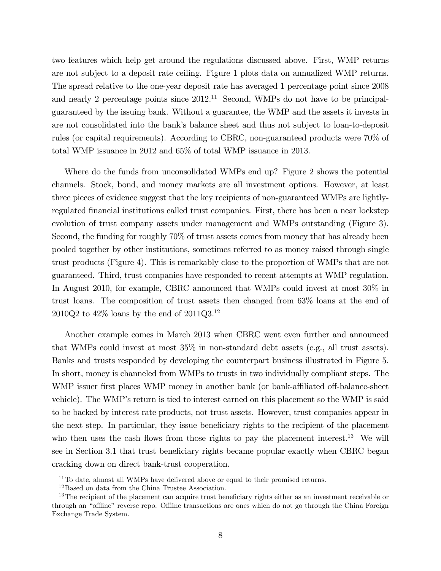two features which help get around the regulations discussed above. First, WMP returns are not subject to a deposit rate ceiling. Figure 1 plots data on annualized WMP returns. The spread relative to the one-year deposit rate has averaged 1 percentage point since 2008 and nearly 2 percentage points since  $2012<sup>11</sup>$  Second, WMPs do not have to be principalguaranteed by the issuing bank. Without a guarantee, the WMP and the assets it invests in are not consolidated into the bankís balance sheet and thus not subject to loan-to-deposit rules (or capital requirements). According to CBRC, non-guaranteed products were 70% of total WMP issuance in 2012 and 65% of total WMP issuance in 2013.

Where do the funds from unconsolidated WMPs end up? Figure 2 shows the potential channels. Stock, bond, and money markets are all investment options. However, at least three pieces of evidence suggest that the key recipients of non-guaranteed WMPs are lightlyregulated Önancial institutions called trust companies. First, there has been a near lockstep evolution of trust company assets under management and WMPs outstanding (Figure 3). Second, the funding for roughly 70% of trust assets comes from money that has already been pooled together by other institutions, sometimes referred to as money raised through single trust products (Figure 4). This is remarkably close to the proportion of WMPs that are not guaranteed. Third, trust companies have responded to recent attempts at WMP regulation. In August 2010, for example, CBRC announced that WMPs could invest at most 30% in trust loans. The composition of trust assets then changed from 63% loans at the end of 2010Q2 to 42% loans by the end of 2011Q3.<sup>12</sup>

Another example comes in March 2013 when CBRC went even further and announced that WMPs could invest at most 35% in non-standard debt assets (e.g., all trust assets). Banks and trusts responded by developing the counterpart business illustrated in Figure 5. In short, money is channeled from WMPs to trusts in two individually compliant steps. The WMP issuer first places WMP money in another bank (or bank-affiliated off-balance-sheet vehicle). The WMP's return is tied to interest earned on this placement so the WMP is said to be backed by interest rate products, not trust assets. However, trust companies appear in the next step. In particular, they issue beneficiary rights to the recipient of the placement who then uses the cash flows from those rights to pay the placement interest.<sup>13</sup> We will see in Section 3.1 that trust beneficiary rights became popular exactly when CBRC began cracking down on direct bank-trust cooperation.

<sup>&</sup>lt;sup>11</sup>To date, almost all WMPs have delivered above or equal to their promised returns.

<sup>12</sup>Based on data from the China Trustee Association.

<sup>&</sup>lt;sup>13</sup>The recipient of the placement can acquire trust beneficiary rights either as an investment receivable or through an "offline" reverse repo. Offline transactions are ones which do not go through the China Foreign Exchange Trade System.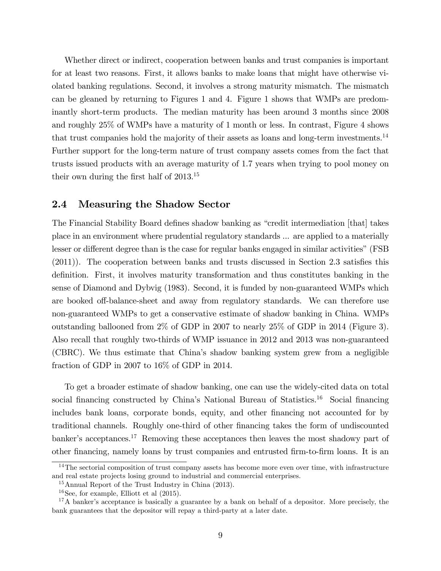Whether direct or indirect, cooperation between banks and trust companies is important for at least two reasons. First, it allows banks to make loans that might have otherwise violated banking regulations. Second, it involves a strong maturity mismatch. The mismatch can be gleaned by returning to Figures 1 and 4. Figure 1 shows that WMPs are predominantly short-term products. The median maturity has been around 3 months since 2008 and roughly 25% of WMPs have a maturity of 1 month or less. In contrast, Figure 4 shows that trust companies hold the majority of their assets as loans and long-term investments.<sup>14</sup> Further support for the long-term nature of trust company assets comes from the fact that trusts issued products with an average maturity of 1.7 years when trying to pool money on their own during the first half of  $2013^{15}$ 

#### 2.4 Measuring the Shadow Sector

The Financial Stability Board defines shadow banking as "credit intermediation [that] takes place in an environment where prudential regulatory standards ... are applied to a materially lesser or different degree than is the case for regular banks engaged in similar activities" (FSB)  $(2011)$ ). The cooperation between banks and trusts discussed in Section 2.3 satisfies this definition. First, it involves maturity transformation and thus constitutes banking in the sense of Diamond and Dybvig (1983). Second, it is funded by non-guaranteed WMPs which are booked off-balance-sheet and away from regulatory standards. We can therefore use non-guaranteed WMPs to get a conservative estimate of shadow banking in China. WMPs outstanding ballooned from 2% of GDP in 2007 to nearly 25% of GDP in 2014 (Figure 3). Also recall that roughly two-thirds of WMP issuance in 2012 and 2013 was non-guaranteed (CBRC). We thus estimate that Chinaís shadow banking system grew from a negligible fraction of GDP in 2007 to 16% of GDP in 2014.

To get a broader estimate of shadow banking, one can use the widely-cited data on total social financing constructed by China's National Bureau of Statistics.<sup>16</sup> Social financing includes bank loans, corporate bonds, equity, and other financing not accounted for by traditional channels. Roughly one-third of other financing takes the form of undiscounted banker's acceptances.<sup>17</sup> Removing these acceptances then leaves the most shadowy part of other financing, namely loans by trust companies and entrusted firm-to-firm loans. It is an

<sup>&</sup>lt;sup>14</sup>The sectorial composition of trust company assets has become more even over time, with infrastructure and real estate projects losing ground to industrial and commercial enterprises.

<sup>15</sup>Annual Report of the Trust Industry in China (2013).

<sup>&</sup>lt;sup>16</sup>See, for example, Elliott et al  $(2015)$ .

<sup>&</sup>lt;sup>17</sup>A banker's acceptance is basically a guarantee by a bank on behalf of a depositor. More precisely, the bank guarantees that the depositor will repay a third-party at a later date.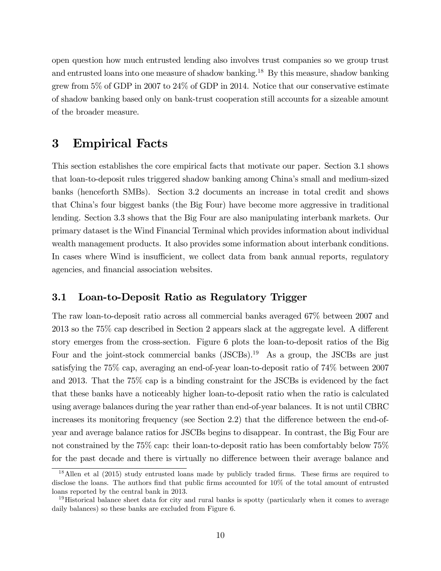open question how much entrusted lending also involves trust companies so we group trust and entrusted loans into one measure of shadow banking.<sup>18</sup> By this measure, shadow banking grew from 5% of GDP in 2007 to 24% of GDP in 2014. Notice that our conservative estimate of shadow banking based only on bank-trust cooperation still accounts for a sizeable amount of the broader measure.

### 3 Empirical Facts

This section establishes the core empirical facts that motivate our paper. Section 3.1 shows that loan-to-deposit rules triggered shadow banking among Chinaís small and medium-sized banks (henceforth SMBs). Section 3.2 documents an increase in total credit and shows that Chinaís four biggest banks (the Big Four) have become more aggressive in traditional lending. Section 3.3 shows that the Big Four are also manipulating interbank markets. Our primary dataset is the Wind Financial Terminal which provides information about individual wealth management products. It also provides some information about interbank conditions. In cases where Wind is insufficient, we collect data from bank annual reports, regulatory agencies, and financial association websites.

#### 3.1 Loan-to-Deposit Ratio as Regulatory Trigger

The raw loan-to-deposit ratio across all commercial banks averaged 67% between 2007 and  $2013$  so the 75% cap described in Section 2 appears slack at the aggregate level. A different story emerges from the cross-section. Figure 6 plots the loan-to-deposit ratios of the Big Four and the joint-stock commercial banks  $(JSCBs).<sup>19</sup>$  As a group, the JSCBs are just satisfying the 75% cap, averaging an end-of-year loan-to-deposit ratio of 74% between 2007 and 2013. That the 75% cap is a binding constraint for the JSCBs is evidenced by the fact that these banks have a noticeably higher loan-to-deposit ratio when the ratio is calculated using average balances during the year rather than end-of-year balances. It is not until CBRC increases its monitoring frequency (see Section 2.2) that the difference between the end-ofyear and average balance ratios for JSCBs begins to disappear. In contrast, the Big Four are not constrained by the 75% cap: their loan-to-deposit ratio has been comfortably below 75% for the past decade and there is virtually no difference between their average balance and

 $18$ Allen et al (2015) study entrusted loans made by publicly traded firms. These firms are required to disclose the loans. The authors find that public firms accounted for  $10\%$  of the total amount of entrusted loans reported by the central bank in 2013.

<sup>&</sup>lt;sup>19</sup>Historical balance sheet data for city and rural banks is spotty (particularly when it comes to average daily balances) so these banks are excluded from Figure 6.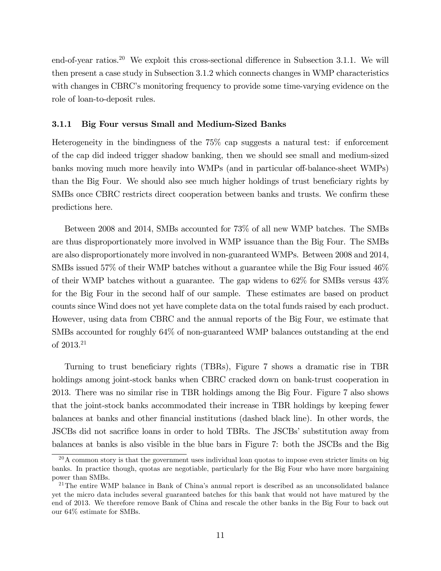end-of-year ratios.<sup>20</sup> We exploit this cross-sectional difference in Subsection 3.1.1. We will then present a case study in Subsection 3.1.2 which connects changes in WMP characteristics with changes in CBRC's monitoring frequency to provide some time-varying evidence on the role of loan-to-deposit rules.

#### 3.1.1 Big Four versus Small and Medium-Sized Banks

Heterogeneity in the bindingness of the 75% cap suggests a natural test: if enforcement of the cap did indeed trigger shadow banking, then we should see small and medium-sized banks moving much more heavily into WMPs (and in particular off-balance-sheet WMPs) than the Big Four. We should also see much higher holdings of trust beneficiary rights by SMBs once CBRC restricts direct cooperation between banks and trusts. We confirm these predictions here.

Between 2008 and 2014, SMBs accounted for 73% of all new WMP batches. The SMBs are thus disproportionately more involved in WMP issuance than the Big Four. The SMBs are also disproportionately more involved in non-guaranteed WMPs. Between 2008 and 2014, SMBs issued 57% of their WMP batches without a guarantee while the Big Four issued 46% of their WMP batches without a guarantee. The gap widens to 62% for SMBs versus 43% for the Big Four in the second half of our sample. These estimates are based on product counts since Wind does not yet have complete data on the total funds raised by each product. However, using data from CBRC and the annual reports of the Big Four, we estimate that SMBs accounted for roughly 64% of non-guaranteed WMP balances outstanding at the end of 2013.<sup>21</sup>

Turning to trust beneficiary rights (TBRs), Figure 7 shows a dramatic rise in TBR holdings among joint-stock banks when CBRC cracked down on bank-trust cooperation in 2013. There was no similar rise in TBR holdings among the Big Four. Figure 7 also shows that the joint-stock banks accommodated their increase in TBR holdings by keeping fewer balances at banks and other financial institutions (dashed black line). In other words, the JSCBs did not sacrifice loans in order to hold TBRs. The JSCBs' substitution away from balances at banks is also visible in the blue bars in Figure 7: both the JSCBs and the Big

 $20$ A common story is that the government uses individual loan quotas to impose even stricter limits on big banks. In practice though, quotas are negotiable, particularly for the Big Four who have more bargaining power than SMBs.

 $21$ The entire WMP balance in Bank of China's annual report is described as an unconsolidated balance yet the micro data includes several guaranteed batches for this bank that would not have matured by the end of 2013. We therefore remove Bank of China and rescale the other banks in the Big Four to back out our 64% estimate for SMBs.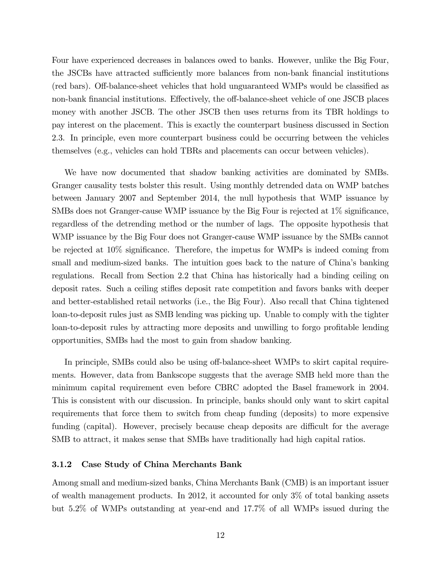Four have experienced decreases in balances owed to banks. However, unlike the Big Four, the JSCBs have attracted sufficiently more balances from non-bank financial institutions (red bars). Off-balance-sheet vehicles that hold unguaranteed WMPs would be classified as non-bank financial institutions. Effectively, the off-balance-sheet vehicle of one JSCB places money with another JSCB. The other JSCB then uses returns from its TBR holdings to pay interest on the placement. This is exactly the counterpart business discussed in Section 2.3. In principle, even more counterpart business could be occurring between the vehicles themselves (e.g., vehicles can hold TBRs and placements can occur between vehicles).

We have now documented that shadow banking activities are dominated by SMBs. Granger causality tests bolster this result. Using monthly detrended data on WMP batches between January 2007 and September 2014, the null hypothesis that WMP issuance by SMBs does not Granger-cause WMP issuance by the Big Four is rejected at  $1\%$  significance, regardless of the detrending method or the number of lags. The opposite hypothesis that WMP issuance by the Big Four does not Granger-cause WMP issuance by the SMBs cannot be rejected at  $10\%$  significance. Therefore, the impetus for WMPs is indeed coming from small and medium-sized banks. The intuition goes back to the nature of China's banking regulations. Recall from Section 2.2 that China has historically had a binding ceiling on deposit rates. Such a ceiling stiáes deposit rate competition and favors banks with deeper and better-established retail networks (i.e., the Big Four). Also recall that China tightened loan-to-deposit rules just as SMB lending was picking up. Unable to comply with the tighter loan-to-deposit rules by attracting more deposits and unwilling to forgo profitable lending opportunities, SMBs had the most to gain from shadow banking.

In principle, SMBs could also be using off-balance-sheet WMPs to skirt capital requirements. However, data from Bankscope suggests that the average SMB held more than the minimum capital requirement even before CBRC adopted the Basel framework in 2004. This is consistent with our discussion. In principle, banks should only want to skirt capital requirements that force them to switch from cheap funding (deposits) to more expensive funding (capital). However, precisely because cheap deposits are difficult for the average SMB to attract, it makes sense that SMBs have traditionally had high capital ratios.

#### 3.1.2 Case Study of China Merchants Bank

Among small and medium-sized banks, China Merchants Bank (CMB) is an important issuer of wealth management products. In 2012, it accounted for only 3% of total banking assets but 5.2% of WMPs outstanding at year-end and 17.7% of all WMPs issued during the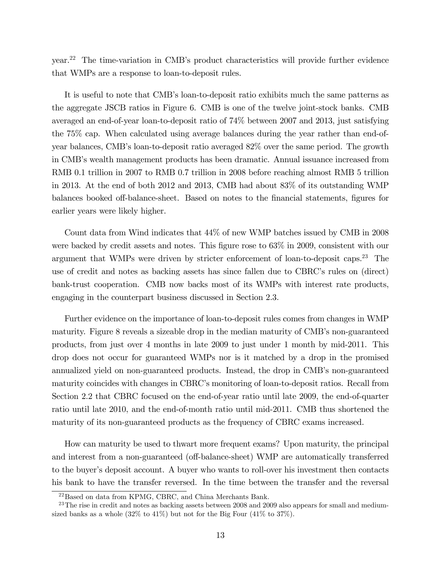year.<sup>22</sup> The time-variation in CMBís product characteristics will provide further evidence that WMPs are a response to loan-to-deposit rules.

It is useful to note that CMB's loan-to-deposit ratio exhibits much the same patterns as the aggregate JSCB ratios in Figure 6. CMB is one of the twelve joint-stock banks. CMB averaged an end-of-year loan-to-deposit ratio of 74% between 2007 and 2013, just satisfying the 75% cap. When calculated using average balances during the year rather than end-ofyear balances, CMBís loan-to-deposit ratio averaged 82% over the same period. The growth in CMBís wealth management products has been dramatic. Annual issuance increased from RMB 0.1 trillion in 2007 to RMB 0.7 trillion in 2008 before reaching almost RMB 5 trillion in 2013. At the end of both 2012 and 2013, CMB had about 83% of its outstanding WMP balances booked off-balance-sheet. Based on notes to the financial statements, figures for earlier years were likely higher.

Count data from Wind indicates that 44% of new WMP batches issued by CMB in 2008 were backed by credit assets and notes. This figure rose to  $63\%$  in 2009, consistent with our argument that WMPs were driven by stricter enforcement of loan-to-deposit caps.<sup>23</sup> The use of credit and notes as backing assets has since fallen due to CBRC's rules on (direct) bank-trust cooperation. CMB now backs most of its WMPs with interest rate products, engaging in the counterpart business discussed in Section 2.3.

Further evidence on the importance of loan-to-deposit rules comes from changes in WMP maturity. Figure 8 reveals a sizeable drop in the median maturity of CMB's non-guaranteed products, from just over 4 months in late 2009 to just under 1 month by mid-2011. This drop does not occur for guaranteed WMPs nor is it matched by a drop in the promised annualized yield on non-guaranteed products. Instead, the drop in CMB's non-guaranteed maturity coincides with changes in CBRC's monitoring of loan-to-deposit ratios. Recall from Section 2.2 that CBRC focused on the end-of-year ratio until late 2009, the end-of-quarter ratio until late 2010, and the end-of-month ratio until mid-2011. CMB thus shortened the maturity of its non-guaranteed products as the frequency of CBRC exams increased.

How can maturity be used to thwart more frequent exams? Upon maturity, the principal and interest from a non-guaranteed (off-balance-sheet) WMP are automatically transferred to the buyer's deposit account. A buyer who wants to roll-over his investment then contacts his bank to have the transfer reversed. In the time between the transfer and the reversal

<sup>22</sup>Based on data from KPMG, CBRC, and China Merchants Bank.

 $^{23}$ The rise in credit and notes as backing assets between 2008 and 2009 also appears for small and mediumsized banks as a whole  $(32\%$  to  $41\%)$  but not for the Big Four  $(41\%$  to  $37\%).$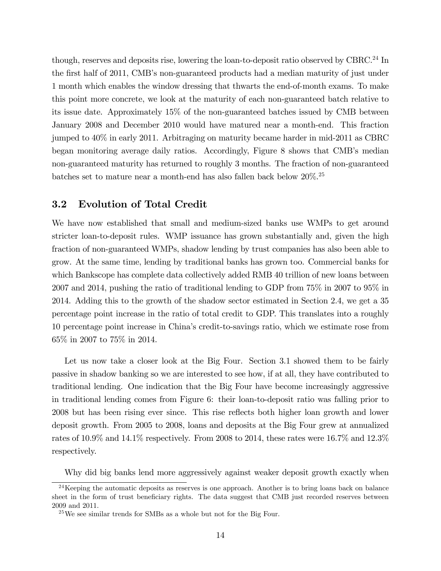though, reserves and deposits rise, lowering the loan-to-deposit ratio observed by CBRC.<sup>24</sup> In the first half of 2011, CMB's non-guaranteed products had a median maturity of just under 1 month which enables the window dressing that thwarts the end-of-month exams. To make this point more concrete, we look at the maturity of each non-guaranteed batch relative to its issue date. Approximately 15% of the non-guaranteed batches issued by CMB between January 2008 and December 2010 would have matured near a month-end. This fraction jumped to 40% in early 2011. Arbitraging on maturity became harder in mid-2011 as CBRC began monitoring average daily ratios. Accordingly, Figure 8 shows that CMB's median non-guaranteed maturity has returned to roughly 3 months. The fraction of non-guaranteed batches set to mature near a month-end has also fallen back below  $20\%$ <sup>25</sup>

#### 3.2 Evolution of Total Credit

We have now established that small and medium-sized banks use WMPs to get around stricter loan-to-deposit rules. WMP issuance has grown substantially and, given the high fraction of non-guaranteed WMPs, shadow lending by trust companies has also been able to grow. At the same time, lending by traditional banks has grown too. Commercial banks for which Bankscope has complete data collectively added RMB 40 trillion of new loans between 2007 and 2014, pushing the ratio of traditional lending to GDP from 75% in 2007 to 95% in 2014. Adding this to the growth of the shadow sector estimated in Section 2.4, we get a 35 percentage point increase in the ratio of total credit to GDP. This translates into a roughly 10 percentage point increase in Chinaís credit-to-savings ratio, which we estimate rose from 65% in 2007 to 75% in 2014.

Let us now take a closer look at the Big Four. Section 3.1 showed them to be fairly passive in shadow banking so we are interested to see how, if at all, they have contributed to traditional lending. One indication that the Big Four have become increasingly aggressive in traditional lending comes from Figure 6: their loan-to-deposit ratio was falling prior to 2008 but has been rising ever since. This rise reflects both higher loan growth and lower deposit growth. From 2005 to 2008, loans and deposits at the Big Four grew at annualized rates of 10.9% and 14.1% respectively. From 2008 to 2014, these rates were 16.7% and 12.3% respectively.

Why did big banks lend more aggressively against weaker deposit growth exactly when

<sup>&</sup>lt;sup>24</sup>Keeping the automatic deposits as reserves is one approach. Another is to bring loans back on balance sheet in the form of trust beneficiary rights. The data suggest that CMB just recorded reserves between 2009 and 2011.

 $^{25}$ We see similar trends for SMBs as a whole but not for the Big Four.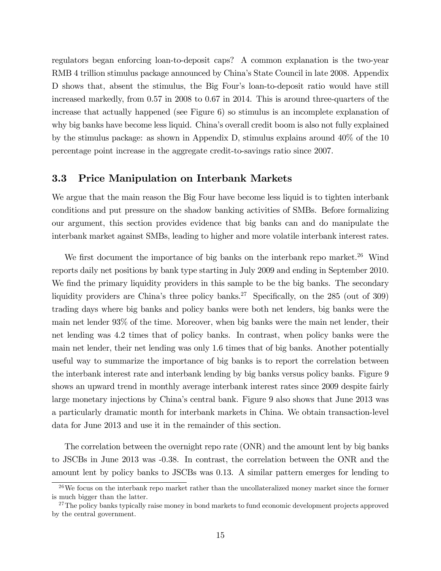regulators began enforcing loan-to-deposit caps? A common explanation is the two-year RMB 4 trillion stimulus package announced by Chinaís State Council in late 2008. Appendix D shows that, absent the stimulus, the Big Four's loan-to-deposit ratio would have still increased markedly, from 0.57 in 2008 to 0.67 in 2014. This is around three-quarters of the increase that actually happened (see Figure 6) so stimulus is an incomplete explanation of why big banks have become less liquid. China's overall credit boom is also not fully explained by the stimulus package: as shown in Appendix D, stimulus explains around 40% of the 10 percentage point increase in the aggregate credit-to-savings ratio since 2007.

### 3.3 Price Manipulation on Interbank Markets

We argue that the main reason the Big Four have become less liquid is to tighten interbank conditions and put pressure on the shadow banking activities of SMBs. Before formalizing our argument, this section provides evidence that big banks can and do manipulate the interbank market against SMBs, leading to higher and more volatile interbank interest rates.

We first document the importance of big banks on the interbank repo market.<sup>26</sup> Wind reports daily net positions by bank type starting in July 2009 and ending in September 2010. We find the primary liquidity providers in this sample to be the big banks. The secondary liquidity providers are China's three policy banks.<sup>27</sup> Specifically, on the 285 (out of 309) trading days where big banks and policy banks were both net lenders, big banks were the main net lender 93% of the time. Moreover, when big banks were the main net lender, their net lending was 4.2 times that of policy banks. In contrast, when policy banks were the main net lender, their net lending was only 1.6 times that of big banks. Another potentially useful way to summarize the importance of big banks is to report the correlation between the interbank interest rate and interbank lending by big banks versus policy banks. Figure 9 shows an upward trend in monthly average interbank interest rates since 2009 despite fairly large monetary injections by China's central bank. Figure 9 also shows that June 2013 was a particularly dramatic month for interbank markets in China. We obtain transaction-level data for June 2013 and use it in the remainder of this section.

The correlation between the overnight repo rate (ONR) and the amount lent by big banks to JSCBs in June 2013 was -0.38. In contrast, the correlation between the ONR and the amount lent by policy banks to JSCBs was 0.13. A similar pattern emerges for lending to

 $26$ We focus on the interbank repo market rather than the uncollateralized money market since the former is much bigger than the latter.

<sup>&</sup>lt;sup>27</sup>The policy banks typically raise money in bond markets to fund economic development projects approved by the central government.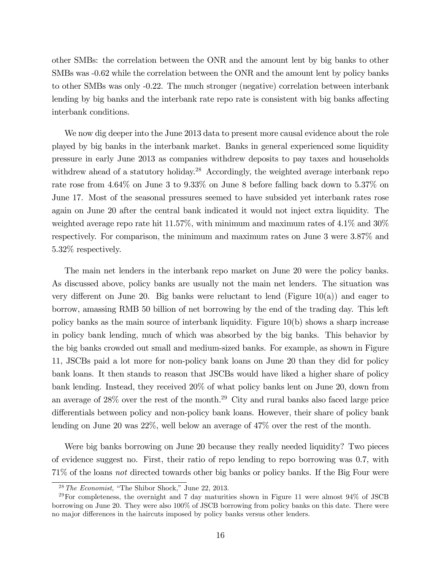other SMBs: the correlation between the ONR and the amount lent by big banks to other SMBs was -0.62 while the correlation between the ONR and the amount lent by policy banks to other SMBs was only -0.22. The much stronger (negative) correlation between interbank lending by big banks and the interbank rate repo rate is consistent with big banks affecting interbank conditions.

We now dig deeper into the June 2013 data to present more causal evidence about the role played by big banks in the interbank market. Banks in general experienced some liquidity pressure in early June 2013 as companies withdrew deposits to pay taxes and households withdrew ahead of a statutory holiday.<sup>28</sup> Accordingly, the weighted average interbank repo rate rose from 4.64% on June 3 to 9.33% on June 8 before falling back down to 5.37% on June 17. Most of the seasonal pressures seemed to have subsided yet interbank rates rose again on June 20 after the central bank indicated it would not inject extra liquidity. The weighted average repo rate hit 11.57%, with minimum and maximum rates of 4.1% and 30% respectively. For comparison, the minimum and maximum rates on June 3 were 3.87% and 5.32% respectively.

The main net lenders in the interbank repo market on June 20 were the policy banks. As discussed above, policy banks are usually not the main net lenders. The situation was very different on June 20. Big banks were reluctant to lend (Figure 10(a)) and eager to borrow, amassing RMB 50 billion of net borrowing by the end of the trading day. This left policy banks as the main source of interbank liquidity. Figure 10(b) shows a sharp increase in policy bank lending, much of which was absorbed by the big banks. This behavior by the big banks crowded out small and medium-sized banks. For example, as shown in Figure 11, JSCBs paid a lot more for non-policy bank loans on June 20 than they did for policy bank loans. It then stands to reason that JSCBs would have liked a higher share of policy bank lending. Instead, they received 20% of what policy banks lent on June 20, down from an average of  $28\%$  over the rest of the month.<sup>29</sup> City and rural banks also faced large price differentials between policy and non-policy bank loans. However, their share of policy bank lending on June 20 was 22%, well below an average of 47% over the rest of the month.

Were big banks borrowing on June 20 because they really needed liquidity? Two pieces of evidence suggest no. First, their ratio of repo lending to repo borrowing was 0.7, with 71% of the loans not directed towards other big banks or policy banks. If the Big Four were

 $28$  The Economist, "The Shibor Shock," June 22, 2013.

 $^{29}$ For completeness, the overnight and 7 day maturities shown in Figure 11 were almost 94% of JSCB borrowing on June 20. They were also 100% of JSCB borrowing from policy banks on this date. There were no major differences in the haircuts imposed by policy banks versus other lenders.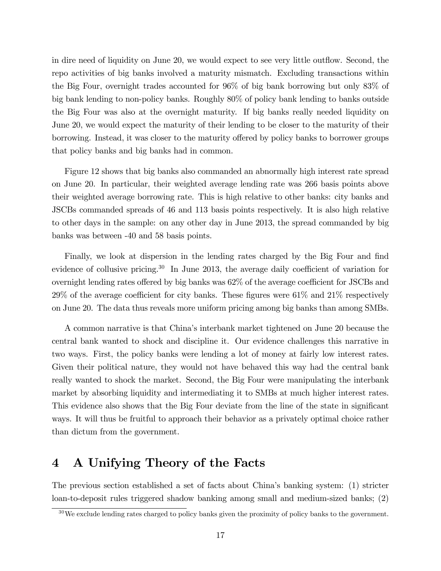in dire need of liquidity on June 20, we would expect to see very little outflow. Second, the repo activities of big banks involved a maturity mismatch. Excluding transactions within the Big Four, overnight trades accounted for 96% of big bank borrowing but only 83% of big bank lending to non-policy banks. Roughly 80% of policy bank lending to banks outside the Big Four was also at the overnight maturity. If big banks really needed liquidity on June 20, we would expect the maturity of their lending to be closer to the maturity of their borrowing. Instead, it was closer to the maturity offered by policy banks to borrower groups that policy banks and big banks had in common.

Figure 12 shows that big banks also commanded an abnormally high interest rate spread on June 20. In particular, their weighted average lending rate was 266 basis points above their weighted average borrowing rate. This is high relative to other banks: city banks and JSCBs commanded spreads of 46 and 113 basis points respectively. It is also high relative to other days in the sample: on any other day in June 2013, the spread commanded by big banks was between -40 and 58 basis points.

Finally, we look at dispersion in the lending rates charged by the Big Four and find evidence of collusive pricing.<sup>30</sup> In June 2013, the average daily coefficient of variation for overnight lending rates offered by big banks was  $62\%$  of the average coefficient for JSCBs and  $29\%$  of the average coefficient for city banks. These figures were 61% and 21% respectively on June 20. The data thus reveals more uniform pricing among big banks than among SMBs.

A common narrative is that Chinaís interbank market tightened on June 20 because the central bank wanted to shock and discipline it. Our evidence challenges this narrative in two ways. First, the policy banks were lending a lot of money at fairly low interest rates. Given their political nature, they would not have behaved this way had the central bank really wanted to shock the market. Second, the Big Four were manipulating the interbank market by absorbing liquidity and intermediating it to SMBs at much higher interest rates. This evidence also shows that the Big Four deviate from the line of the state in significant ways. It will thus be fruitful to approach their behavior as a privately optimal choice rather than dictum from the government.

# 4 A Unifying Theory of the Facts

The previous section established a set of facts about Chinaís banking system: (1) stricter loan-to-deposit rules triggered shadow banking among small and medium-sized banks; (2)

 $30\,\text{We exclude lending rates charged to policy banks given the proximity of policy banks to the government.}$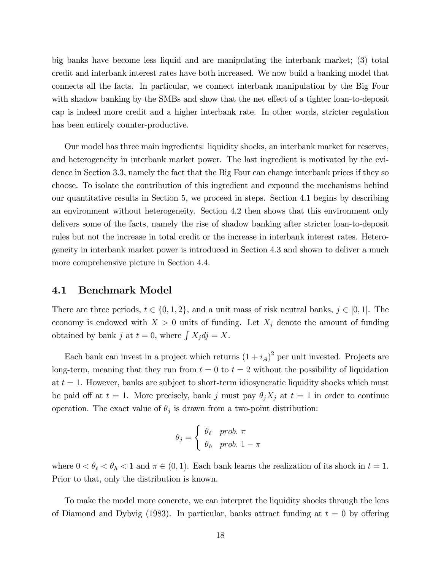big banks have become less liquid and are manipulating the interbank market; (3) total credit and interbank interest rates have both increased. We now build a banking model that connects all the facts. In particular, we connect interbank manipulation by the Big Four with shadow banking by the SMBs and show that the net effect of a tighter loan-to-deposit cap is indeed more credit and a higher interbank rate. In other words, stricter regulation has been entirely counter-productive.

Our model has three main ingredients: liquidity shocks, an interbank market for reserves, and heterogeneity in interbank market power. The last ingredient is motivated by the evidence in Section 3.3, namely the fact that the Big Four can change interbank prices if they so choose. To isolate the contribution of this ingredient and expound the mechanisms behind our quantitative results in Section 5, we proceed in steps. Section 4.1 begins by describing an environment without heterogeneity. Section 4.2 then shows that this environment only delivers some of the facts, namely the rise of shadow banking after stricter loan-to-deposit rules but not the increase in total credit or the increase in interbank interest rates. Heterogeneity in interbank market power is introduced in Section 4.3 and shown to deliver a much more comprehensive picture in Section 4.4.

#### 4.1 Benchmark Model

There are three periods,  $t \in \{0, 1, 2\}$ , and a unit mass of risk neutral banks,  $j \in [0, 1]$ . The economy is endowed with  $X > 0$  units of funding. Let  $X_j$  denote the amount of funding obtained by bank j at  $t = 0$ , where  $\int X_j d_j = X$ .

Each bank can invest in a project which returns  $(1 + i_A)^2$  per unit invested. Projects are long-term, meaning that they run from  $t = 0$  to  $t = 2$  without the possibility of liquidation at  $t = 1$ . However, banks are subject to short-term idiosyncratic liquidity shocks which must be paid off at  $t = 1$ . More precisely, bank j must pay  $\theta_j X_j$  at  $t = 1$  in order to continue operation. The exact value of  $\theta_j$  is drawn from a two-point distribution:

$$
\theta_j = \begin{cases} \theta_\ell & prob. \pi \\ \theta_h & prob. 1 - \pi \end{cases}
$$

where  $0 < \theta_{\ell} < \theta_h < 1$  and  $\pi \in (0, 1)$ . Each bank learns the realization of its shock in  $t = 1$ . Prior to that, only the distribution is known.

To make the model more concrete, we can interpret the liquidity shocks through the lens of Diamond and Dybvig (1983). In particular, banks attract funding at  $t = 0$  by offering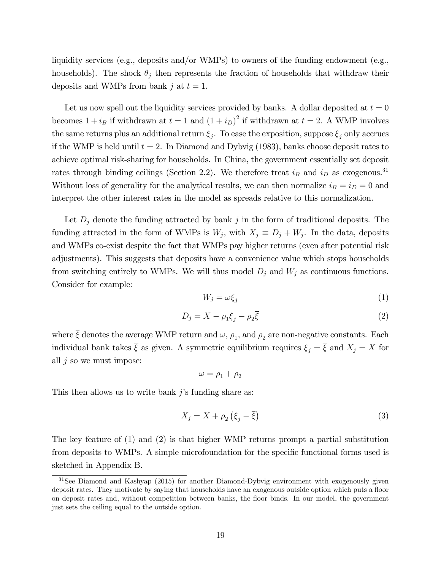liquidity services (e.g., deposits and/or WMPs) to owners of the funding endowment (e.g., households). The shock  $\theta_j$  then represents the fraction of households that withdraw their deposits and WMPs from bank j at  $t = 1$ .

Let us now spell out the liquidity services provided by banks. A dollar deposited at  $t = 0$ becomes  $1 + i_B$  if withdrawn at  $t = 1$  and  $(1 + i_D)^2$  if withdrawn at  $t = 2$ . A WMP involves the same returns plus an additional return  $\xi_j$ . To ease the exposition, suppose  $\xi_j$  only accrues if the WMP is held until  $t = 2$ . In Diamond and Dybvig (1983), banks choose deposit rates to achieve optimal risk-sharing for households. In China, the government essentially set deposit rates through binding ceilings (Section 2.2). We therefore treat  $i_B$  and  $i_D$  as exogenous.<sup>31</sup> Without loss of generality for the analytical results, we can then normalize  $i_B = i_D = 0$  and interpret the other interest rates in the model as spreads relative to this normalization.

Let  $D_j$  denote the funding attracted by bank j in the form of traditional deposits. The funding attracted in the form of WMPs is  $W_j$ , with  $X_j \equiv D_j + W_j$ . In the data, deposits and WMPs co-exist despite the fact that WMPs pay higher returns (even after potential risk adjustments). This suggests that deposits have a convenience value which stops households from switching entirely to WMPs. We will thus model  $D_j$  and  $W_j$  as continuous functions. Consider for example:

$$
W_j = \omega \xi_j \tag{1}
$$

$$
D_j = X - \rho_1 \xi_j - \rho_2 \overline{\xi}
$$
 (2)

where  $\xi$  denotes the average WMP return and  $\omega$ ,  $\rho_1$ , and  $\rho_2$  are non-negative constants. Each individual bank takes  $\overline{\xi}$  as given. A symmetric equilibrium requires  $\xi_j = \overline{\xi}$  and  $X_j = X$  for all  $j$  so we must impose:

$$
\omega=\rho_1+\rho_2
$$

This then allows us to write bank  $j$ 's funding share as:

$$
X_j = X + \rho_2 \left( \xi_j - \overline{\xi} \right) \tag{3}
$$

The key feature of (1) and (2) is that higher WMP returns prompt a partial substitution from deposits to WMPs. A simple microfoundation for the specific functional forms used is sketched in Appendix B.

<sup>&</sup>lt;sup>31</sup>See Diamond and Kashyap (2015) for another Diamond-Dybyig environment with exogenously given deposit rates. They motivate by saying that households have an exogenous outside option which puts a floor on deposit rates and, without competition between banks, the áoor binds. In our model, the government just sets the ceiling equal to the outside option.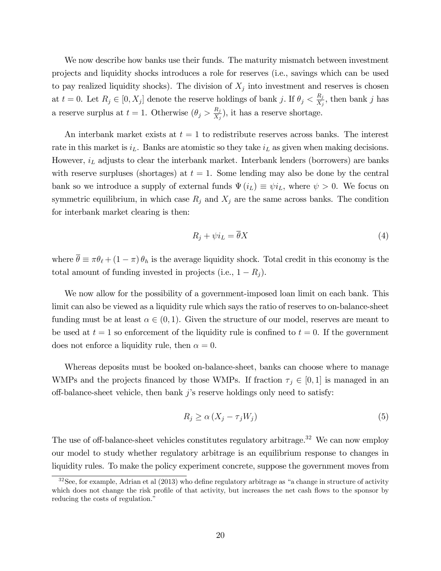We now describe how banks use their funds. The maturity mismatch between investment projects and liquidity shocks introduces a role for reserves (i.e., savings which can be used to pay realized liquidity shocks). The division of  $X_j$  into investment and reserves is chosen at  $t = 0$ . Let  $R_j \in [0, X_j]$  denote the reserve holdings of bank j. If  $\theta_j < \frac{R_j}{X_j}$  $\frac{R_j}{X_j}$ , then bank j has a reserve surplus at  $t = 1$ . Otherwise  $(\theta_j > \frac{R_j}{X_s})$  $\frac{R_j}{X_j}$ , it has a reserve shortage.

An interbank market exists at  $t = 1$  to redistribute reserves across banks. The interest rate in this market is  $i_L$ . Banks are atomistic so they take  $i_L$  as given when making decisions. However,  $i_L$  adjusts to clear the interbank market. Interbank lenders (borrowers) are banks with reserve surpluses (shortages) at  $t = 1$ . Some lending may also be done by the central bank so we introduce a supply of external funds  $\Psi(i_L) \equiv \psi i_L$ , where  $\psi > 0$ . We focus on symmetric equilibrium, in which case  $R_j$  and  $X_j$  are the same across banks. The condition for interbank market clearing is then:

$$
R_j + \psi i_L = \overline{\theta} X \tag{4}
$$

where  $\bar{\theta} \equiv \pi \theta_{\ell} + (1 - \pi) \theta_h$  is the average liquidity shock. Total credit in this economy is the total amount of funding invested in projects (i.e.,  $1 - R_j$ ).

We now allow for the possibility of a government-imposed loan limit on each bank. This limit can also be viewed as a liquidity rule which says the ratio of reserves to on-balance-sheet funding must be at least  $\alpha \in (0,1)$ . Given the structure of our model, reserves are meant to be used at  $t = 1$  so enforcement of the liquidity rule is confined to  $t = 0$ . If the government does not enforce a liquidity rule, then  $\alpha = 0$ .

Whereas deposits must be booked on-balance-sheet, banks can choose where to manage WMPs and the projects financed by those WMPs. If fraction  $\tau_j \in [0, 1]$  is managed in an off-balance-sheet vehicle, then bank  $j$ 's reserve holdings only need to satisfy:

$$
R_j \ge \alpha \left( X_j - \tau_j W_j \right) \tag{5}
$$

The use of off-balance-sheet vehicles constitutes regulatory arbitrage.<sup>32</sup> We can now employ our model to study whether regulatory arbitrage is an equilibrium response to changes in liquidity rules. To make the policy experiment concrete, suppose the government moves from

 $32$ See, for example, Adrian et al (2013) who define regulatory arbitrage as "a change in structure of activity which does not change the risk profile of that activity, but increases the net cash flows to the sponsor by reducing the costs of regulation."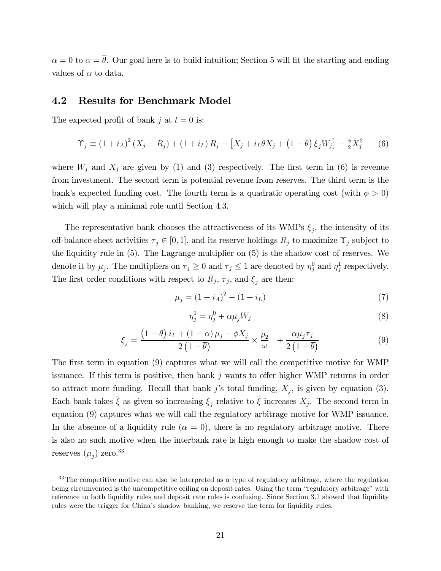$\alpha = 0$  to  $\alpha = \overline{\theta}$ . Our goal here is to build intuition; Section 5 will fit the starting and ending values of  $\alpha$  to data.

#### 4.2 Results for Benchmark Model

The expected profit of bank j at  $t = 0$  is:

$$
\Upsilon_j \equiv (1 + i_A)^2 (X_j - R_j) + (1 + i_L) R_j - [X_j + i_L \overline{\theta} X_j + (1 - \overline{\theta}) \xi_j W_j] - \frac{\phi}{2} X_j^2 \tag{6}
$$

where  $W_j$  and  $X_j$  are given by (1) and (3) respectively. The first term in (6) is revenue from investment. The second term is potential revenue from reserves. The third term is the bank's expected funding cost. The fourth term is a quadratic operating cost (with  $\phi > 0$ ) which will play a minimal role until Section 4.3.

The representative bank chooses the attractiveness of its WMPs  $\xi_j$ , the intensity of its off-balance-sheet activities  $\tau_j \in [0, 1]$ , and its reserve holdings  $R_j$  to maximize  $\Upsilon_j$  subject to the liquidity rule in (5). The Lagrange multiplier on (5) is the shadow cost of reserves. We denote it by  $\mu_j$ . The multipliers on  $\tau_j \ge 0$  and  $\tau_j \le 1$  are denoted by  $\eta_j^0$  and  $\eta_j^1$  respectively. The first order conditions with respect to  $R_j$ ,  $\tau_j$ , and  $\xi_j$  are then:

$$
\mu_j = (1 + i_A)^2 - (1 + i_L) \tag{7}
$$

$$
\eta_j^1 = \eta_j^0 + \alpha \mu_j W_j \tag{8}
$$

$$
\xi_j = \frac{\left(1 - \overline{\theta}\right)i_L + \left(1 - \alpha\right)\mu_j - \phi X_j}{2\left(1 - \overline{\theta}\right)} \times \frac{\rho_2}{\omega} + \frac{\alpha\mu_j \tau_j}{2\left(1 - \overline{\theta}\right)}\tag{9}
$$

The first term in equation (9) captures what we will call the competitive motive for WMP issuance. If this term is positive, then bank  $j$  wants to offer higher WMP returns in order to attract more funding. Recall that bank j's total funding,  $X_j$ , is given by equation (3). Each bank takes  $\xi$  as given so increasing  $\xi_j$  relative to  $\xi$  increases  $X_j$ . The second term in equation (9) captures what we will call the regulatory arbitrage motive for WMP issuance. In the absence of a liquidity rule ( $\alpha = 0$ ), there is no regulatory arbitrage motive. There is also no such motive when the interbank rate is high enough to make the shadow cost of reserves  $(\mu_j)$  zero.<sup>33</sup>

<sup>&</sup>lt;sup>33</sup>The competitive motive can also be interpreted as a type of regulatory arbitrage, where the regulation being circumvented is the uncompetitive ceiling on deposit rates. Using the term "regulatory arbitrage" with reference to both liquidity rules and deposit rate rules is confusing. Since Section 3.1 showed that liquidity rules were the trigger for Chinaís shadow banking, we reserve the term for liquidity rules.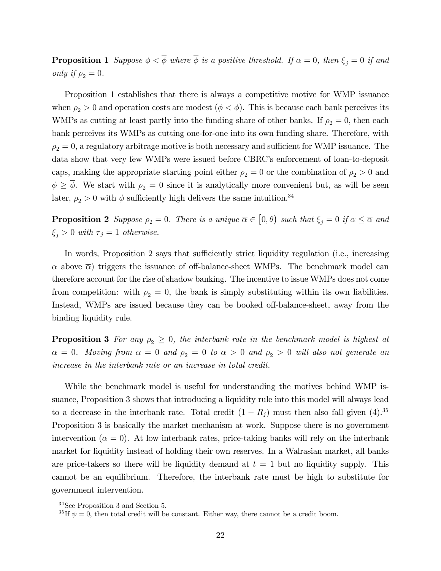**Proposition 1** Suppose  $\phi < \overline{\phi}$  where  $\overline{\phi}$  is a positive threshold. If  $\alpha = 0$ , then  $\xi_j = 0$  if and only if  $\rho_2 = 0$ .

Proposition 1 establishes that there is always a competitive motive for WMP issuance when  $\rho_2 > 0$  and operation costs are modest  $(\phi < \overline{\phi})$ . This is because each bank perceives its WMPs as cutting at least partly into the funding share of other banks. If  $\rho_2 = 0$ , then each bank perceives its WMPs as cutting one-for-one into its own funding share. Therefore, with  $\rho_2 = 0$ , a regulatory arbitrage motive is both necessary and sufficient for WMP issuance. The data show that very few WMPs were issued before CBRC's enforcement of loan-to-deposit caps, making the appropriate starting point either  $\rho_2 = 0$  or the combination of  $\rho_2 > 0$  and  $\phi \geq \overline{\phi}$ . We start with  $\rho_2 = 0$  since it is analytically more convenient but, as will be seen later,  $\rho_2 > 0$  with  $\phi$  sufficiently high delivers the same intuition.<sup>34</sup>

**Proposition 2** Suppose  $\rho_2 = 0$ . There is a unique  $\overline{\alpha} \in [0, \overline{\theta})$  such that  $\xi_j = 0$  if  $\alpha \leq \overline{\alpha}$  and  $\xi_j > 0$  with  $\tau_j = 1$  otherwise.

In words, Proposition 2 says that sufficiently strict liquidity regulation (i.e., increasing  $\alpha$  above  $\overline{\alpha}$ ) triggers the issuance of off-balance-sheet WMPs. The benchmark model can therefore account for the rise of shadow banking. The incentive to issue WMPs does not come from competition: with  $\rho_2 = 0$ , the bank is simply substituting within its own liabilities. Instead, WMPs are issued because they can be booked off-balance-sheet, away from the binding liquidity rule.

**Proposition 3** For any  $\rho_2 \geq 0$ , the interbank rate in the benchmark model is highest at  $\alpha = 0$ . Moving from  $\alpha = 0$  and  $\rho_2 = 0$  to  $\alpha > 0$  and  $\rho_2 > 0$  will also not generate an increase in the interbank rate or an increase in total credit.

While the benchmark model is useful for understanding the motives behind WMP issuance, Proposition 3 shows that introducing a liquidity rule into this model will always lead to a decrease in the interbank rate. Total credit  $(1 - R_j)$  must then also fall given  $(4).^{35}$ Proposition 3 is basically the market mechanism at work. Suppose there is no government intervention ( $\alpha = 0$ ). At low interbank rates, price-taking banks will rely on the interbank market for liquidity instead of holding their own reserves. In a Walrasian market, all banks are price-takers so there will be liquidity demand at  $t = 1$  but no liquidity supply. This cannot be an equilibrium. Therefore, the interbank rate must be high to substitute for government intervention.

<sup>34</sup>See Proposition 3 and Section 5.

<sup>&</sup>lt;sup>35</sup>If  $\psi = 0$ , then total credit will be constant. Either way, there cannot be a credit boom.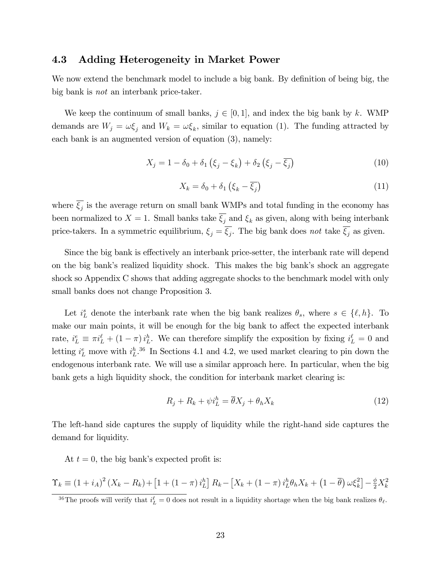#### 4.3 Adding Heterogeneity in Market Power

We now extend the benchmark model to include a big bank. By definition of being big, the big bank is not an interbank price-taker.

We keep the continuum of small banks,  $j \in [0, 1]$ , and index the big bank by k. WMP demands are  $W_j = \omega \xi_j$  and  $W_k = \omega \xi_k$ , similar to equation (1). The funding attracted by each bank is an augmented version of equation (3), namely:

$$
X_j = 1 - \delta_0 + \delta_1 \left(\xi_j - \xi_k\right) + \delta_2 \left(\xi_j - \overline{\xi_j}\right) \tag{10}
$$

$$
X_k = \delta_0 + \delta_1 \left( \xi_k - \overline{\xi_j} \right) \tag{11}
$$

where  $\xi_j$  is the average return on small bank WMPs and total funding in the economy has been normalized to  $X = 1$ . Small banks take  $\overline{\xi_i}$  and  $\xi_k$  as given, along with being interbank price-takers. In a symmetric equilibrium,  $\xi_j = \xi_j$ . The big bank does not take  $\xi_j$  as given.

Since the big bank is effectively an interbank price-setter, the interbank rate will depend on the big bank's realized liquidity shock. This makes the big bank's shock an aggregate shock so Appendix C shows that adding aggregate shocks to the benchmark model with only small banks does not change Proposition 3.

Let  $i_L^s$  denote the interbank rate when the big bank realizes  $\theta_s$ , where  $s \in \{\ell, h\}$ . To make our main points, it will be enough for the big bank to affect the expected interbank rate,  $i_L^e \equiv \pi i_L^{\ell} + (1 - \pi) i_L^h$ . We can therefore simplify the exposition by fixing  $i_L^{\ell} = 0$  and letting  $i_L^e$  move with  $i_L^{h}$ .<sup>36</sup> In Sections 4.1 and 4.2, we used market clearing to pin down the endogenous interbank rate. We will use a similar approach here. In particular, when the big bank gets a high liquidity shock, the condition for interbank market clearing is:

$$
R_j + R_k + \psi i_L^h = \overline{\theta} X_j + \theta_h X_k \tag{12}
$$

The left-hand side captures the supply of liquidity while the right-hand side captures the demand for liquidity.

At  $t = 0$ , the big bank's expected profit is:

$$
\Upsilon_k \equiv \left(1 + i_A\right)^2 \left(X_k - R_k\right) + \left[1 + \left(1 - \pi\right)i_L^h\right]R_k - \left[X_k + \left(1 - \pi\right)i_L^h\theta_h X_k + \left(1 - \overline{\theta}\right)\omega\xi_k^2\right] - \frac{\phi}{2}X_k^2
$$

<sup>&</sup>lt;sup>36</sup>The proofs will verify that  $i_L^{\ell} = 0$  does not result in a liquidity shortage when the big bank realizes  $\theta_{\ell}$ .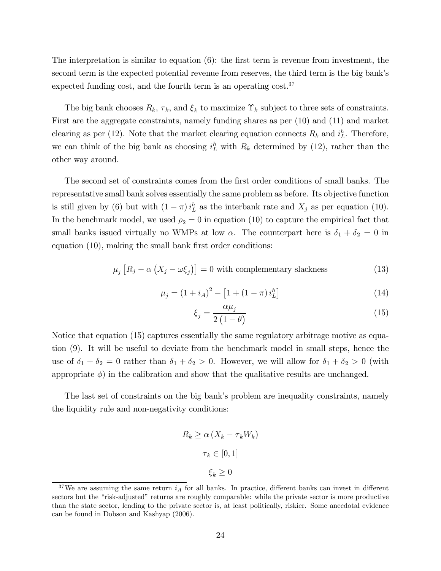The interpretation is similar to equation  $(6)$ : the first term is revenue from investment, the second term is the expected potential revenue from reserves, the third term is the big bank's expected funding cost, and the fourth term is an operating cost.<sup>37</sup>

The big bank chooses  $R_k$ ,  $\tau_k$ , and  $\xi_k$  to maximize  $\Upsilon_k$  subject to three sets of constraints. First are the aggregate constraints, namely funding shares as per (10) and (11) and market clearing as per (12). Note that the market clearing equation connects  $R_k$  and  $i_L^h$ . Therefore, we can think of the big bank as choosing  $i_L^h$  with  $R_k$  determined by (12), rather than the other way around.

The second set of constraints comes from the first order conditions of small banks. The representative small bank solves essentially the same problem as before. Its objective function is still given by (6) but with  $(1 - \pi) i_L^h$  as the interbank rate and  $X_j$  as per equation (10). In the benchmark model, we used  $\rho_2 = 0$  in equation (10) to capture the empirical fact that small banks issued virtually no WMPs at low  $\alpha$ . The counterpart here is  $\delta_1 + \delta_2 = 0$  in equation  $(10)$ , making the small bank first order conditions:

$$
\mu_j \left[ R_j - \alpha \left( X_j - \omega \xi_j \right) \right] = 0 \text{ with complementary slackness} \tag{13}
$$

$$
\mu_j = (1 + i_A)^2 - [1 + (1 - \pi) i_L^h]
$$
\n(14)

$$
\xi_j = \frac{\alpha \mu_j}{2\left(1 - \overline{\theta}\right)}\tag{15}
$$

Notice that equation (15) captures essentially the same regulatory arbitrage motive as equation (9). It will be useful to deviate from the benchmark model in small steps, hence the use of  $\delta_1 + \delta_2 = 0$  rather than  $\delta_1 + \delta_2 > 0$ . However, we will allow for  $\delta_1 + \delta_2 > 0$  (with appropriate  $\phi$ ) in the calibration and show that the qualitative results are unchanged.

The last set of constraints on the big bank's problem are inequality constraints, namely the liquidity rule and non-negativity conditions:

$$
R_k \ge \alpha \left( X_k - \tau_k W_k \right)
$$

$$
\tau_k \in [0, 1]
$$

$$
\xi_k \ge 0
$$

<sup>&</sup>lt;sup>37</sup>We are assuming the same return  $i_A$  for all banks. In practice, different banks can invest in different sectors but the "risk-adjusted" returns are roughly comparable: while the private sector is more productive than the state sector, lending to the private sector is, at least politically, riskier. Some anecdotal evidence can be found in Dobson and Kashyap (2006).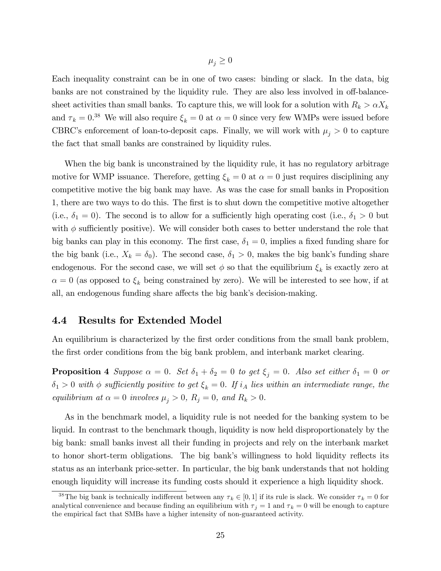$\mu_i \geq 0$ 

Each inequality constraint can be in one of two cases: binding or slack. In the data, big banks are not constrained by the liquidity rule. They are also less involved in off-balancesheet activities than small banks. To capture this, we will look for a solution with  $R_k > \alpha X_k$ and  $\tau_k = 0.38$  We will also require  $\xi_k = 0$  at  $\alpha = 0$  since very few WMPs were issued before CBRC's enforcement of loan-to-deposit caps. Finally, we will work with  $\mu_j > 0$  to capture the fact that small banks are constrained by liquidity rules.

When the big bank is unconstrained by the liquidity rule, it has no regulatory arbitrage motive for WMP issuance. Therefore, getting  $\xi_k = 0$  at  $\alpha = 0$  just requires disciplining any competitive motive the big bank may have. As was the case for small banks in Proposition 1, there are two ways to do this. The first is to shut down the competitive motive altogether (i.e.,  $\delta_1 = 0$ ). The second is to allow for a sufficiently high operating cost (i.e.,  $\delta_1 > 0$  but with  $\phi$  sufficiently positive). We will consider both cases to better understand the role that big banks can play in this economy. The first case,  $\delta_1 = 0$ , implies a fixed funding share for the big bank (i.e.,  $X_k = \delta_0$ ). The second case,  $\delta_1 > 0$ , makes the big bank's funding share endogenous. For the second case, we will set  $\phi$  so that the equilibrium  $\xi_k$  is exactly zero at  $\alpha = 0$  (as opposed to  $\xi_k$  being constrained by zero). We will be interested to see how, if at all, an endogenous funding share affects the big bank's decision-making.

#### 4.4 Results for Extended Model

An equilibrium is characterized by the first order conditions from the small bank problem, the first order conditions from the big bank problem, and interbank market clearing.

**Proposition 4** Suppose  $\alpha = 0$ . Set  $\delta_1 + \delta_2 = 0$  to get  $\xi_i = 0$ . Also set either  $\delta_1 = 0$  or  $\delta_1 > 0$  with  $\phi$  sufficiently positive to get  $\xi_k = 0$ . If  $i_A$  lies within an intermediate range, the equilibrium at  $\alpha = 0$  involves  $\mu_j > 0$ ,  $R_j = 0$ , and  $R_k > 0$ .

As in the benchmark model, a liquidity rule is not needed for the banking system to be liquid. In contrast to the benchmark though, liquidity is now held disproportionately by the big bank: small banks invest all their funding in projects and rely on the interbank market to honor short-term obligations. The big bank's willingness to hold liquidity reflects its status as an interbank price-setter. In particular, the big bank understands that not holding enough liquidity will increase its funding costs should it experience a high liquidity shock.

<sup>&</sup>lt;sup>38</sup>The big bank is technically indifferent between any  $\tau_k \in [0, 1]$  if its rule is slack. We consider  $\tau_k = 0$  for analytical convenience and because finding an equilibrium with  $\tau_i = 1$  and  $\tau_k = 0$  will be enough to capture the empirical fact that SMBs have a higher intensity of non-guaranteed activity.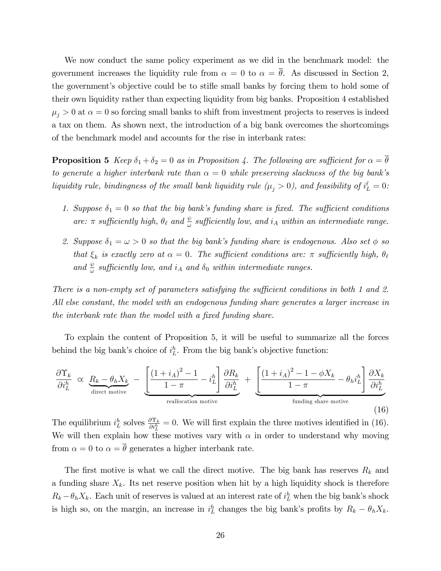We now conduct the same policy experiment as we did in the benchmark model: the government increases the liquidity rule from  $\alpha = 0$  to  $\alpha = \overline{\theta}$ . As discussed in Section 2, the government's objective could be to stifle small banks by forcing them to hold some of their own liquidity rather than expecting liquidity from big banks. Proposition 4 established  $\mu_j > 0$  at  $\alpha = 0$  so forcing small banks to shift from investment projects to reserves is indeed a tax on them. As shown next, the introduction of a big bank overcomes the shortcomings of the benchmark model and accounts for the rise in interbank rates:

**Proposition 5** Keep  $\delta_1 + \delta_2 = 0$  as in Proposition 4. The following are sufficient for  $\alpha = \overline{\theta}$ to generate a higher interbank rate than  $\alpha = 0$  while preserving slackness of the big bank's liquidity rule, bindingness of the small bank liquidity rule  $(\mu_j > 0)$ , and feasibility of  $i_L^{\ell} = 0$ :

- 1. Suppose  $\delta_1 = 0$  so that the big bank's funding share is fixed. The sufficient conditions are:  $\pi$  sufficiently high,  $\theta_{\ell}$  and  $\frac{\psi}{\omega}$  sufficiently low, and  $i_A$  within an intermediate range.
- 2. Suppose  $\delta_1 = \omega > 0$  so that the big bank's funding share is endogenous. Also set  $\phi$  so that  $\xi_k$  is exactly zero at  $\alpha = 0$ . The sufficient conditions are:  $\pi$  sufficiently high,  $\theta_\ell$ and  $\frac{\psi}{\omega}$  sufficiently low, and  $i_A$  and  $\delta_0$  within intermediate ranges.

There is a non-empty set of parameters satisfying the sufficient conditions in both 1 and 2. All else constant, the model with an endogenous funding share generates a larger increase in the interbank rate than the model with a fixed funding share.

To explain the content of Proposition 5, it will be useful to summarize all the forces behind the big bank's choice of  $i_L^h$ . From the big bank's objective function:

$$
\frac{\partial \Upsilon_k}{\partial i_L^h} \propto \underbrace{R_k - \theta_h X_k}_{\text{direct notice}} - \underbrace{\left[ \frac{(1 + i_A)^2 - 1}{1 - \pi} - i_L^h \right] \frac{\partial R_k}{\partial i_L^h}}_{\text{reallocation motive}} + \underbrace{\left[ \frac{(1 + i_A)^2 - 1 - \phi X_k}{1 - \pi} - \theta_h i_L^h \right] \frac{\partial X_k}{\partial i_L^h}}_{\text{funding share motive}}
$$
\n(16)

The equilibrium  $i_L^h$  solves  $\frac{\partial \Upsilon_k}{\partial i_L^h} = 0$ . We will first explain the three motives identified in (16). We will then explain how these motives vary with  $\alpha$  in order to understand why moving from  $\alpha = 0$  to  $\alpha = \overline{\theta}$  generates a higher interbank rate.

The first motive is what we call the direct motive. The big bank has reserves  $R_k$  and a funding share  $X_k$ . Its net reserve position when hit by a high liquidity shock is therefore  $R_k - \theta_h X_k$ . Each unit of reserves is valued at an interest rate of  $i_L^h$  when the big bank's shock is high so, on the margin, an increase in  $i_L^h$  changes the big bank's profits by  $R_k - \theta_h X_k$ .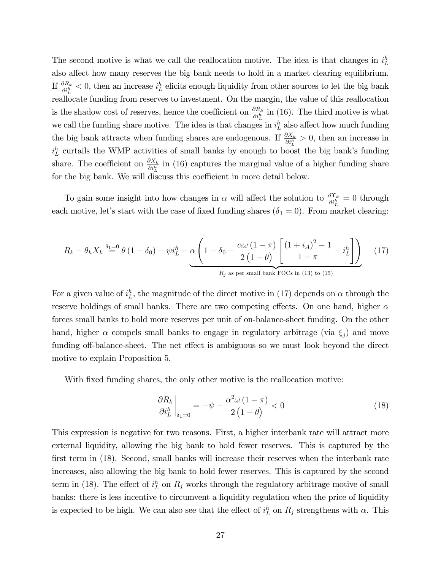The second motive is what we call the reallocation motive. The idea is that changes in  $i_L^h$ also affect how many reserves the big bank needs to hold in a market clearing equilibrium. If  $\frac{\partial R_k}{\partial i_L^h} < 0$ , then an increase  $i_L^h$  elicits enough liquidity from other sources to let the big bank reallocate funding from reserves to investment. On the margin, the value of this reallocation is the shadow cost of reserves, hence the coefficient on  $\frac{\partial R_k}{\partial i_L^h}$  in (16). The third motive is what we call the funding share motive. The idea is that changes in  $i_L^h$  also affect how much funding the big bank attracts when funding shares are endogenous. If  $\frac{\partial X_k}{\partial t_L} > 0$ , then an increase in  $i_L^h$  curtails the WMP activities of small banks by enough to boost the big bank's funding share. The coefficient on  $\frac{\partial X_k}{\partial t_L^h}$  in (16) captures the marginal value of a higher funding share for the big bank. We will discuss this coefficient in more detail below.

To gain some insight into how changes in  $\alpha$  will affect the solution to  $\frac{\partial \Upsilon_k}{\partial i_L^h} = 0$  through each motive, let's start with the case of fixed funding shares ( $\delta_1 = 0$ ). From market clearing:

$$
R_k - \theta_h X_k \stackrel{\delta_1 = 0}{=} \overline{\theta} (1 - \delta_0) - \psi i_L^h - \alpha \left( 1 - \delta_0 - \frac{\alpha \omega (1 - \pi)}{2 (1 - \overline{\theta})} \left[ \frac{(1 + i_A)^2 - 1}{1 - \pi} - i_L^h \right] \right)
$$
(17)

For a given value of  $i<sub>L</sub><sup>h</sup>$ , the magnitude of the direct motive in (17) depends on  $\alpha$  through the reserve holdings of small banks. There are two competing effects. On one hand, higher  $\alpha$ forces small banks to hold more reserves per unit of on-balance-sheet funding. On the other hand, higher  $\alpha$  compels small banks to engage in regulatory arbitrage (via  $\xi_j$ ) and move funding off-balance-sheet. The net effect is ambiguous so we must look beyond the direct motive to explain Proposition 5.

With fixed funding shares, the only other motive is the reallocation motive:

$$
\left. \frac{\partial R_k}{\partial i_L^h} \right|_{\delta_1 = 0} = -\psi - \frac{\alpha^2 \omega \left( 1 - \pi \right)}{2 \left( 1 - \overline{\theta} \right)} < 0 \tag{18}
$$

This expression is negative for two reasons. First, a higher interbank rate will attract more external liquidity, allowing the big bank to hold fewer reserves. This is captured by the first term in (18). Second, small banks will increase their reserves when the interbank rate increases, also allowing the big bank to hold fewer reserves. This is captured by the second term in (18). The effect of  $i_L^h$  on  $R_j$  works through the regulatory arbitrage motive of small banks: there is less incentive to circumvent a liquidity regulation when the price of liquidity is expected to be high. We can also see that the effect of  $i<sub>L</sub><sup>h</sup>$  on  $R_j$  strengthens with  $\alpha$ . This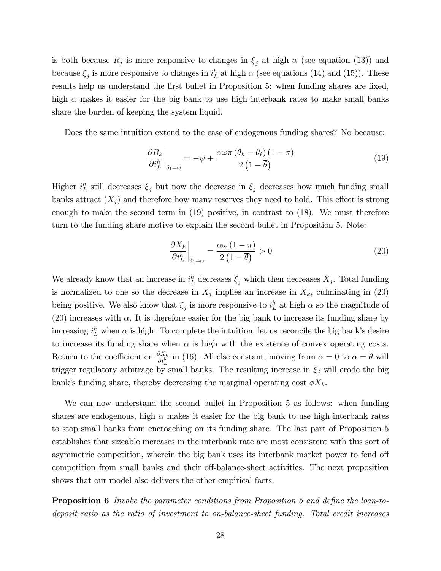is both because  $R_j$  is more responsive to changes in  $\xi_j$  at high  $\alpha$  (see equation (13)) and because  $\xi_j$  is more responsive to changes in  $i_L^h$  at high  $\alpha$  (see equations (14) and (15)). These results help us understand the first bullet in Proposition 5: when funding shares are fixed, high  $\alpha$  makes it easier for the big bank to use high interbank rates to make small banks share the burden of keeping the system liquid.

Does the same intuition extend to the case of endogenous funding shares? No because:

$$
\left. \frac{\partial R_k}{\partial i_L^h} \right|_{\delta_1 = \omega} = -\psi + \frac{\alpha \omega \pi \left( \theta_h - \theta_\ell \right) (1 - \pi)}{2 \left( 1 - \overline{\theta} \right)} \tag{19}
$$

Higher  $i_L^h$  still decreases  $\xi_j$  but now the decrease in  $\xi_j$  decreases how much funding small banks attract  $(X_i)$  and therefore how many reserves they need to hold. This effect is strong enough to make the second term in (19) positive, in contrast to (18). We must therefore turn to the funding share motive to explain the second bullet in Proposition 5. Note:

$$
\left. \frac{\partial X_k}{\partial i_L^h} \right|_{\delta_1 = \omega} = \frac{\alpha \omega \left( 1 - \pi \right)}{2 \left( 1 - \overline{\theta} \right)} > 0 \tag{20}
$$

We already know that an increase in  $i_L^h$  decreases  $\xi_j$  which then decreases  $X_j$ . Total funding is normalized to one so the decrease in  $X_j$  implies an increase in  $X_k$ , culminating in (20) being positive. We also know that  $\xi_j$  is more responsive to  $i_L^h$  at high  $\alpha$  so the magnitude of (20) increases with  $\alpha$ . It is therefore easier for the big bank to increase its funding share by increasing  $i_L^h$  when  $\alpha$  is high. To complete the intuition, let us reconcile the big bank's desire to increase its funding share when  $\alpha$  is high with the existence of convex operating costs. Return to the coefficient on  $\frac{\partial X_k}{\partial i_L^h}$  in (16). All else constant, moving from  $\alpha = 0$  to  $\alpha = \overline{\theta}$  will trigger regulatory arbitrage by small banks. The resulting increase in  $\xi_i$  will erode the big bank's funding share, thereby decreasing the marginal operating cost  $\phi X_k$ .

We can now understand the second bullet in Proposition 5 as follows: when funding shares are endogenous, high  $\alpha$  makes it easier for the big bank to use high interbank rates to stop small banks from encroaching on its funding share. The last part of Proposition 5 establishes that sizeable increases in the interbank rate are most consistent with this sort of asymmetric competition, wherein the big bank uses its interbank market power to fend off competition from small banks and their off-balance-sheet activities. The next proposition shows that our model also delivers the other empirical facts:

**Proposition 6** Invoke the parameter conditions from Proposition 5 and define the loan-todeposit ratio as the ratio of investment to on-balance-sheet funding. Total credit increases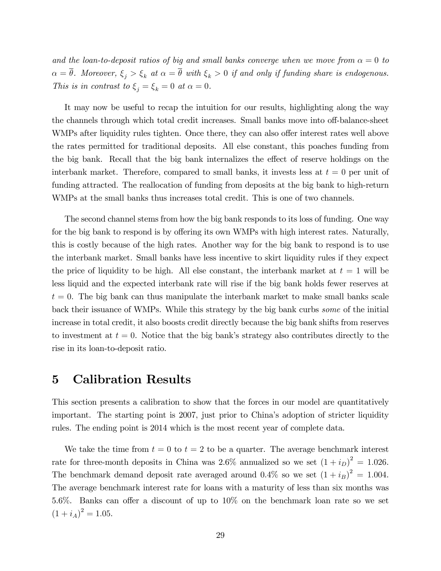and the loan-to-deposit ratios of big and small banks converge when we move from  $\alpha = 0$  to  $\alpha = \overline{\theta}$ . Moreover,  $\xi_j > \xi_k$  at  $\alpha = \overline{\theta}$  with  $\xi_k > 0$  if and only if funding share is endogenous. This is in contrast to  $\xi_j = \xi_k = 0$  at  $\alpha = 0$ .

It may now be useful to recap the intuition for our results, highlighting along the way the channels through which total credit increases. Small banks move into off-balance-sheet WMPs after liquidity rules tighten. Once there, they can also offer interest rates well above the rates permitted for traditional deposits. All else constant, this poaches funding from the big bank. Recall that the big bank internalizes the effect of reserve holdings on the interbank market. Therefore, compared to small banks, it invests less at  $t = 0$  per unit of funding attracted. The reallocation of funding from deposits at the big bank to high-return WMPs at the small banks thus increases total credit. This is one of two channels.

The second channel stems from how the big bank responds to its loss of funding. One way for the big bank to respond is by offering its own WMPs with high interest rates. Naturally, this is costly because of the high rates. Another way for the big bank to respond is to use the interbank market. Small banks have less incentive to skirt liquidity rules if they expect the price of liquidity to be high. All else constant, the interbank market at  $t = 1$  will be less liquid and the expected interbank rate will rise if the big bank holds fewer reserves at  $t = 0$ . The big bank can thus manipulate the interbank market to make small banks scale back their issuance of WMPs. While this strategy by the big bank curbs some of the initial increase in total credit, it also boosts credit directly because the big bank shifts from reserves to investment at  $t = 0$ . Notice that the big bank's strategy also contributes directly to the rise in its loan-to-deposit ratio.

### 5 Calibration Results

This section presents a calibration to show that the forces in our model are quantitatively important. The starting point is 2007, just prior to China's adoption of stricter liquidity rules. The ending point is 2014 which is the most recent year of complete data.

We take the time from  $t = 0$  to  $t = 2$  to be a quarter. The average benchmark interest rate for three-month deposits in China was 2.6% annualized so we set  $(1 + i_D)^2 = 1.026$ . The benchmark demand deposit rate averaged around 0.4% so we set  $(1 + i_B)^2 = 1.004$ . The average benchmark interest rate for loans with a maturity of less than six months was 5.6%. Banks can offer a discount of up to  $10\%$  on the benchmark loan rate so we set  $(1 + i_A)^2 = 1.05.$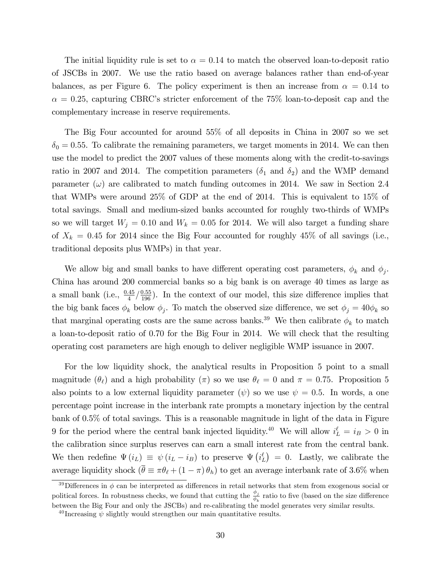The initial liquidity rule is set to  $\alpha = 0.14$  to match the observed loan-to-deposit ratio of JSCBs in 2007. We use the ratio based on average balances rather than end-of-year balances, as per Figure 6. The policy experiment is then an increase from  $\alpha = 0.14$  to  $\alpha = 0.25$ , capturing CBRC's stricter enforcement of the 75% loan-to-deposit cap and the complementary increase in reserve requirements.

The Big Four accounted for around 55% of all deposits in China in 2007 so we set  $\delta_0 = 0.55$ . To calibrate the remaining parameters, we target moments in 2014. We can then use the model to predict the 2007 values of these moments along with the credit-to-savings ratio in 2007 and 2014. The competition parameters  $(\delta_1$  and  $\delta_2)$  and the WMP demand parameter  $(\omega)$  are calibrated to match funding outcomes in 2014. We saw in Section 2.4 that WMPs were around 25% of GDP at the end of 2014. This is equivalent to 15% of total savings. Small and medium-sized banks accounted for roughly two-thirds of WMPs so we will target  $W_i = 0.10$  and  $W_k = 0.05$  for 2014. We will also target a funding share of  $X_k = 0.45$  for 2014 since the Big Four accounted for roughly 45% of all savings (i.e., traditional deposits plus WMPs) in that year.

We allow big and small banks to have different operating cost parameters,  $\phi_k$  and  $\phi_j$ . China has around 200 commercial banks so a big bank is on average 40 times as large as a small bank (i.e.,  $\frac{0.45}{4}/\frac{0.55}{196}$ ). In the context of our model, this size difference implies that the big bank faces  $\phi_k$  below  $\phi_j$ . To match the observed size difference, we set  $\phi_j = 40\phi_k$  so that marginal operating costs are the same across banks.<sup>39</sup> We then calibrate  $\phi_k$  to match a loan-to-deposit ratio of 0.70 for the Big Four in 2014. We will check that the resulting operating cost parameters are high enough to deliver negligible WMP issuance in 2007.

For the low liquidity shock, the analytical results in Proposition 5 point to a small magnitude  $(\theta_{\ell})$  and a high probability  $(\pi)$  so we use  $\theta_{\ell} = 0$  and  $\pi = 0.75$ . Proposition 5 also points to a low external liquidity parameter  $(\psi)$  so we use  $\psi = 0.5$ . In words, a one percentage point increase in the interbank rate prompts a monetary injection by the central bank of 0.5% of total savings. This is a reasonable magnitude in light of the data in Figure 9 for the period where the central bank injected liquidity.<sup>40</sup> We will allow  $i_L^{\ell} = i_B > 0$  in the calibration since surplus reserves can earn a small interest rate from the central bank. We then redefine  $\Psi(i_L) \equiv \psi(i_L - i_B)$  to preserve  $\Psi(i_L^{\ell}) = 0$ . Lastly, we calibrate the average liquidity shock  $(\bar{\theta} \equiv \pi \theta_{\ell} + (1 - \pi) \theta_h)$  to get an average interbank rate of 3.6% when

<sup>&</sup>lt;sup>39</sup>Differences in  $\phi$  can be interpreted as differences in retail networks that stem from exogenous social or political forces. In robustness checks, we found that cutting the  $\frac{\phi_j}{\phi_k}$  ratio to five (based on the size difference between the Big Four and only the JSCBs) and re-calibrating the model generates very similar results.

<sup>&</sup>lt;sup>40</sup> Increasing  $\psi$  slightly would strengthen our main quantitative results.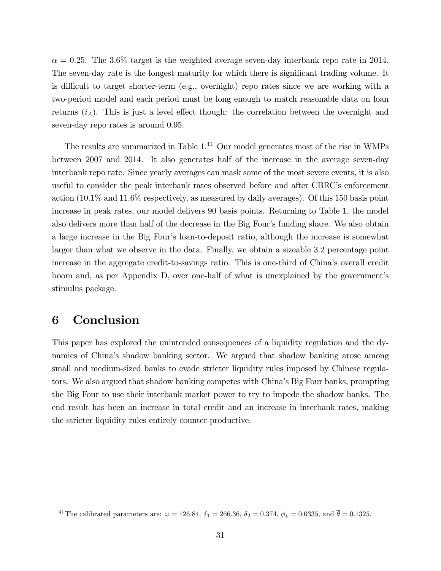$\alpha = 0.25$ . The 3.6% target is the weighted average seven-day interbank repo rate in 2014. The seven-day rate is the longest maturity for which there is significant trading volume. It is difficult to target shorter-term (e.g., overnight) repo rates since we are working with a two-period model and each period must be long enough to match reasonable data on loan returns  $(i_A)$ . This is just a level effect though: the correlation between the overnight and seven-day repo rates is around 0.95.

The results are summarized in Table 1.<sup>41</sup> Our model generates most of the rise in WMPs between 2007 and 2014. It also generates half of the increase in the average seven-day interbank repo rate. Since yearly averages can mask some of the most severe events, it is also useful to consider the peak interbank rates observed before and after CBRC's enforcement action (10.1% and 11.6% respectively, as measured by daily averages). Of this 150 basis point increase in peak rates, our model delivers 90 basis points. Returning to Table 1, the model also delivers more than half of the decrease in the Big Four's funding share. We also obtain a large increase in the Big Four's loan-to-deposit ratio, although the increase is somewhat larger than what we observe in the data. Finally, we obtain a sizeable 3.2 percentage point increase in the aggregate credit-to-savings ratio. This is one-third of China's overall credit boom and, as per Appendix D, over one-half of what is unexplained by the government's stimulus package.

# 6 Conclusion

This paper has explored the unintended consequences of a liquidity regulation and the dynamics of China's shadow banking sector. We argued that shadow banking arose among small and medium-sized banks to evade stricter liquidity rules imposed by Chinese regulators. We also argued that shadow banking competes with China's Big Four banks, prompting the Big Four to use their interbank market power to try to impede the shadow banks. The end result has been an increase in total credit and an increase in interbank rates, making the stricter liquidity rules entirely counter-productive.

<sup>&</sup>lt;sup>41</sup>The calibrated parameters are:  $\omega = 126.84$ ,  $\delta_1 = 266.36$ ,  $\delta_2 = 0.374$ ,  $\phi_k = 0.0335$ , and  $\bar{\theta} = 0.1325$ .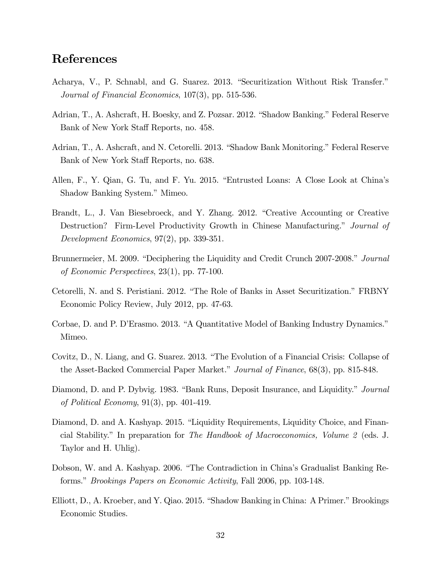### References

- Acharya, V., P. Schnabl, and G. Suarez. 2013. "Securitization Without Risk Transfer." Journal of Financial Economics, 107(3), pp. 515-536.
- Adrian, T., A. Ashcraft, H. Boesky, and Z. Pozsar. 2012. "Shadow Banking." Federal Reserve Bank of New York Staff Reports, no. 458.
- Adrian, T., A. Ashcraft, and N. Cetorelli. 2013. "Shadow Bank Monitoring." Federal Reserve Bank of New York Staff Reports, no. 638.
- Allen, F., Y. Qian, G. Tu, and F. Yu. 2015. "Entrusted Loans: A Close Look at China's Shadow Banking System." Mimeo.
- Brandt, L., J. Van Biesebroeck, and Y. Zhang. 2012. "Creative Accounting or Creative Destruction? Firm-Level Productivity Growth in Chinese Manufacturing." Journal of Development Economics, 97(2), pp. 339-351.
- Brunnermeier, M. 2009. "Deciphering the Liquidity and Credit Crunch 2007-2008." Journal of Economic Perspectives, 23(1), pp. 77-100.
- Cetorelli, N. and S. Peristiani. 2012. "The Role of Banks in Asset Securitization." FRBNY Economic Policy Review, July 2012, pp. 47-63.
- Corbae, D. and P. D'Erasmo. 2013. "A Quantitative Model of Banking Industry Dynamics." Mimeo.
- Covitz, D., N. Liang, and G. Suarez. 2013. "The Evolution of a Financial Crisis: Collapse of the Asset-Backed Commercial Paper Market." Journal of Finance, 68(3), pp. 815-848.
- Diamond, D. and P. Dybvig. 1983. "Bank Runs, Deposit Insurance, and Liquidity." Journal of Political Economy, 91(3), pp. 401-419.
- Diamond, D. and A. Kashyap. 2015. "Liquidity Requirements, Liquidity Choice, and Financial Stability.î In preparation for The Handbook of Macroeconomics, Volume 2 (eds. J. Taylor and H. Uhlig).
- Dobson, W. and A. Kashyap. 2006. "The Contradiction in China's Gradualist Banking Reforms." *Brookings Papers on Economic Activity*, Fall 2006, pp. 103-148.
- Elliott, D., A. Kroeber, and Y. Qiao. 2015. "Shadow Banking in China: A Primer." Brookings Economic Studies.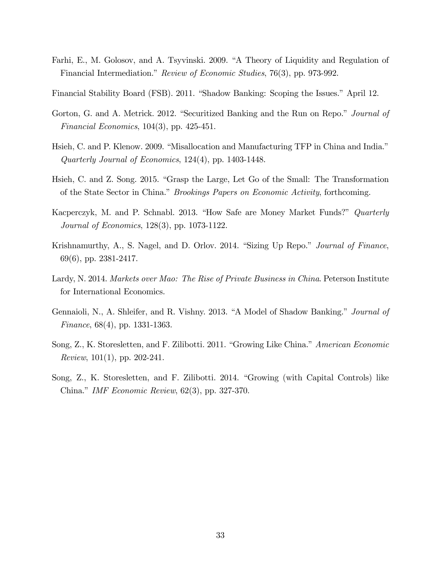Farhi, E., M. Golosov, and A. Tsyvinski. 2009. "A Theory of Liquidity and Regulation of Financial Intermediation." *Review of Economic Studies*, 76(3), pp. 973-992.

Financial Stability Board (FSB). 2011. "Shadow Banking: Scoping the Issues." April 12.

- Gorton, G. and A. Metrick. 2012. "Securitized Banking and the Run on Repo." *Journal of* Financial Economics, 104(3), pp. 425-451.
- Hsieh, C. and P. Klenow. 2009. "Misallocation and Manufacturing TFP in China and India." Quarterly Journal of Economics, 124(4), pp. 1403-1448.
- Hsieh, C. and Z. Song. 2015. "Grasp the Large, Let Go of the Small: The Transformation of the State Sector in China." *Brookings Papers on Economic Activity*, forthcoming.
- Kacperczyk, M. and P. Schnabl. 2013. "How Safe are Money Market Funds?" *Quarterly* Journal of Economics, 128(3), pp. 1073-1122.
- Krishnamurthy, A., S. Nagel, and D. Orlov. 2014. "Sizing Up Repo." *Journal of Finance*, 69(6), pp. 2381-2417.
- Lardy, N. 2014. Markets over Mao: The Rise of Private Business in China. Peterson Institute for International Economics.
- Gennaioli, N., A. Shleifer, and R. Vishny. 2013. "A Model of Shadow Banking." *Journal of* Finance, 68(4), pp. 1331-1363.
- Song, Z., K. Storesletten, and F. Zilibotti. 2011. "Growing Like China." American Economic Review, 101(1), pp. 202-241.
- Song, Z., K. Storesletten, and F. Zilibotti. 2014. "Growing (with Capital Controls) like China." IMF Economic Review,  $62(3)$ , pp. 327-370.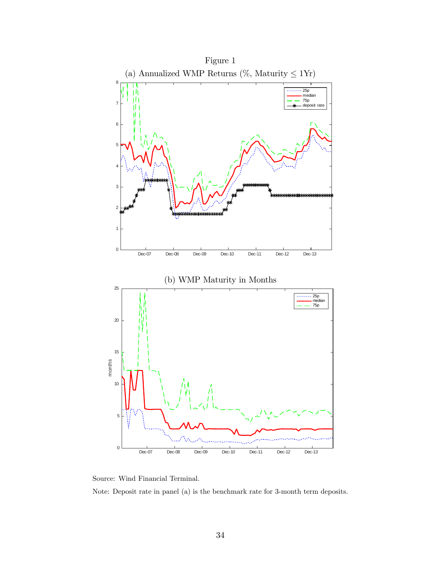



Note: Deposit rate in panel (a) is the benchmark rate for 3-month term deposits.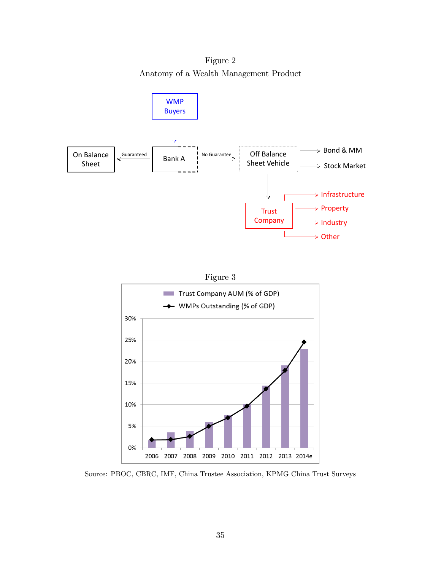Figure 2 Anatomy of a Wealth Management Product





Source: PBOC, CBRC, IMF, China Trustee Association, KPMG China Trust Surveys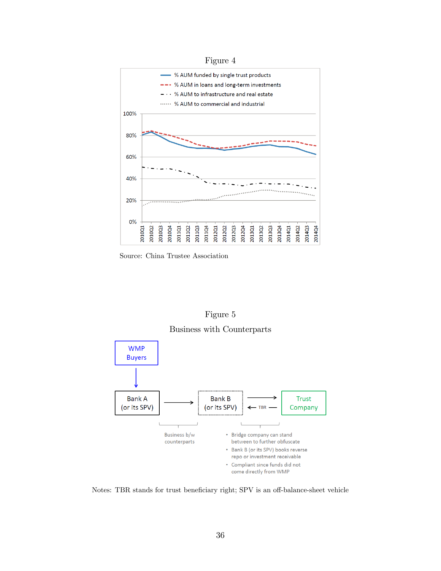

Source: China Trustee Association



Business with Counterparts



Notes: TBR stands for trust beneficiary right; SPV is an off-balance-sheet vehicle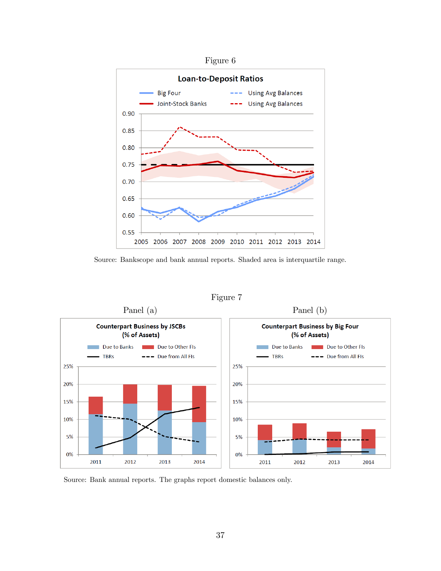

Source: Bankscope and bank annual reports. Shaded area is interquartile range.



Figure 7

Source: Bank annual reports. The graphs report domestic balances only.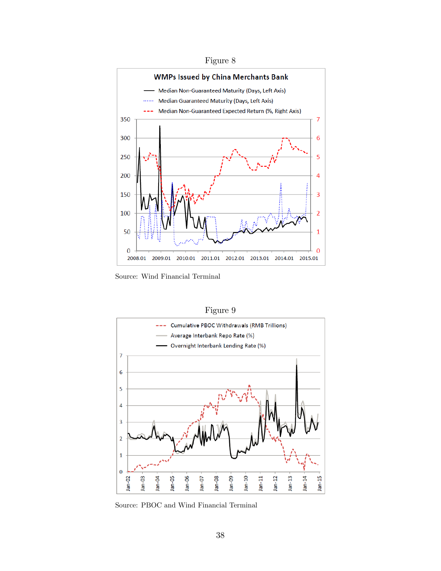



Source: Wind Financial Terminal



Figure 9

Source: PBOC and Wind Financial Terminal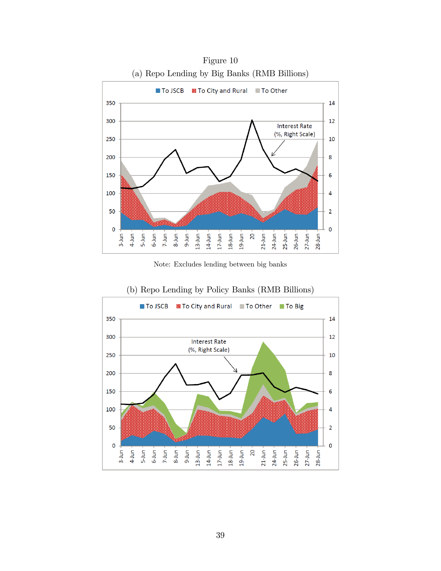

Figure 10

Note: Excludes lending between big banks



(b) Repo Lending by Policy Banks (RMB Billions)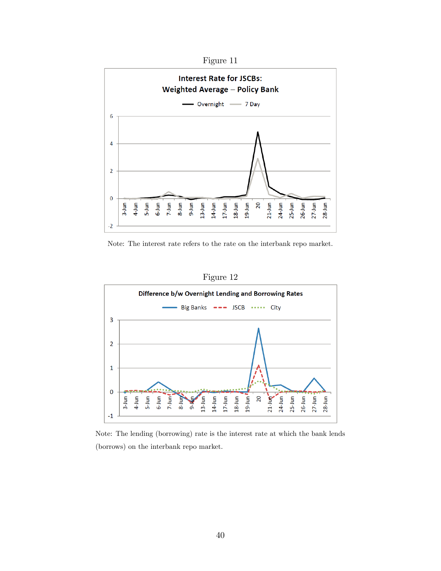

Note: The interest rate refers to the rate on the interbank repo market.

Figure 12



Note: The lending (borrowing) rate is the interest rate at which the bank lends (borrows) on the interbank repo market.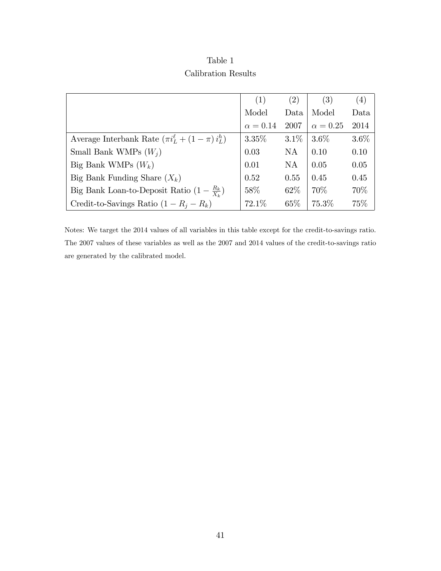| Table 1             |  |
|---------------------|--|
| Calibration Results |  |

|                                                             | (1)             | (2)               | (3)             | (4)     |
|-------------------------------------------------------------|-----------------|-------------------|-----------------|---------|
|                                                             | Model           | Data              | Model           | Data    |
|                                                             | $\alpha = 0.14$ | 2007              | $\alpha = 0.25$ | 2014    |
| Average Interbank Rate $(\pi i_L^{\ell} + (1 - \pi) i_L^h)$ | $3.35\%$        | $3.1\%$   $3.6\%$ |                 | $3.6\%$ |
| Small Bank WMPs $(W_i)$                                     | 0.03            | NA                | 0.10            | 0.10    |
| Big Bank WMPs $(W_k)$                                       | 0.01            | <b>NA</b>         | 0.05            | 0.05    |
| Big Bank Funding Share $(X_k)$                              | 0.52            | 0.55              | 0.45            | 0.45    |
| Big Bank Loan-to-Deposit Ratio $(1 - \frac{R_k}{X_i})$      | 58\%            | 62\%              | 70\%            | 70%     |
| Credit-to-Savings Ratio $(1 - R_i - R_k)$                   | 72.1%           | 65\%              | 75.3%           | 75%     |

Notes: We target the 2014 values of all variables in this table except for the credit-to-savings ratio. The 2007 values of these variables as well as the 2007 and 2014 values of the credit-to-savings ratio are generated by the calibrated model.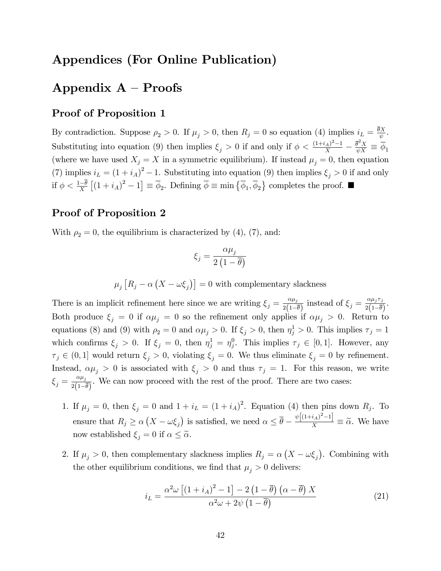### Appendices (For Online Publication)

# Appendix  $A -$ Proofs

### Proof of Proposition 1

By contradiction. Suppose  $\rho_2 > 0$ . If  $\mu_j > 0$ , then  $R_j = 0$  so equation (4) implies  $i_L = \frac{\theta X}{\psi}$  $\frac{\partial X}{\psi}$  . Substituting into equation (9) then implies  $\xi_j > 0$  if and only if  $\phi < \frac{(1+i_A)^2-1}{X}$  $\frac{(A)^2-1}{X}-\frac{\overline{\theta}^2 X}{\psi X}\equiv \overline{\phi}_1$ (where we have used  $X_j = X$  in a symmetric equilibrium). If instead  $\mu_j = 0$ , then equation (7) implies  $i_L = (1 + i_A)^2 - 1$ . Substituting into equation (9) then implies  $\xi_j > 0$  if and only if  $\phi < \frac{1-\overline{\theta}}{X} [(1+i_A)^2 - 1] \equiv \overline{\phi}_2$ . Defining  $\overline{\phi} \equiv \min \{ \overline{\phi}_1, \overline{\phi}_2 \}$  completes the proof. ■

### Proof of Proposition 2

With  $\rho_2 = 0$ , the equilibrium is characterized by (4), (7), and:

$$
\xi_j = \frac{\alpha \mu_j}{2\left(1 - \overline{\theta}\right)}
$$

 $\mu_j \left[ R_j - \alpha \left( X - \omega \xi_j \right) \right] = 0$  with complementary slackness

There is an implicit refinement here since we are writing  $\xi_j = \frac{\alpha \mu_j}{2(1 - i)}$  $\frac{\alpha \mu_j}{2(1-\overline{\theta})}$  instead of  $\xi_j = \frac{\alpha \mu_j \tau_j}{2(1-\overline{\theta})}$  $\frac{\alpha \mu_j \mu_j}{2(1-\overline{\theta})}.$ Both produce  $\xi_j = 0$  if  $\alpha \mu_j = 0$  so the refinement only applies if  $\alpha \mu_j > 0$ . Return to equations (8) and (9) with  $\rho_2 = 0$  and  $\alpha \mu_j > 0$ . If  $\xi_j > 0$ , then  $\eta_j^1 > 0$ . This implies  $\tau_j = 1$ which confirms  $\xi_j > 0$ . If  $\xi_j = 0$ , then  $\eta_j^1 = \eta_j^0$ . This implies  $\tau_j \in [0,1]$ . However, any  $\tau_j \in (0,1]$  would return  $\xi_j > 0$ , violating  $\xi_j = 0$ . We thus eliminate  $\xi_j = 0$  by refinement. Instead,  $\alpha \mu_j > 0$  is associated with  $\xi_j > 0$  and thus  $\tau_j = 1$ . For this reason, we write  $\xi_j = \frac{\alpha \mu_j}{2(1 - i)^2}$  $\frac{\alpha \mu_j}{2(1-\overline{\theta})}$ . We can now proceed with the rest of the proof. There are two cases:

- 1. If  $\mu_j = 0$ , then  $\xi_j = 0$  and  $1 + i_L = (1 + i_A)^2$ . Equation (4) then pins down  $R_j$ . To ensure that  $R_j \ge \alpha \left( X - \omega \xi_j \right)$  is satisfied, we need  $\alpha \le \overline{\theta} - \frac{\psi \left[ (1+i_A)^2 - 1 \right]}{X} \equiv \widetilde{\alpha}$ . We have now established  $\xi_i = 0$  if  $\alpha \leq \tilde{\alpha}$ .
- 2. If  $\mu_j > 0$ , then complementary slackness implies  $R_j = \alpha (X \omega \xi_j)$ . Combining with the other equilibrium conditions, we find that  $\mu_i > 0$  delivers:

$$
i_L = \frac{\alpha^2 \omega \left[ \left( 1 + i_A \right)^2 - 1 \right] - 2 \left( 1 - \overline{\theta} \right) \left( \alpha - \overline{\theta} \right) X}{\alpha^2 \omega + 2 \psi \left( 1 - \overline{\theta} \right)} \tag{21}
$$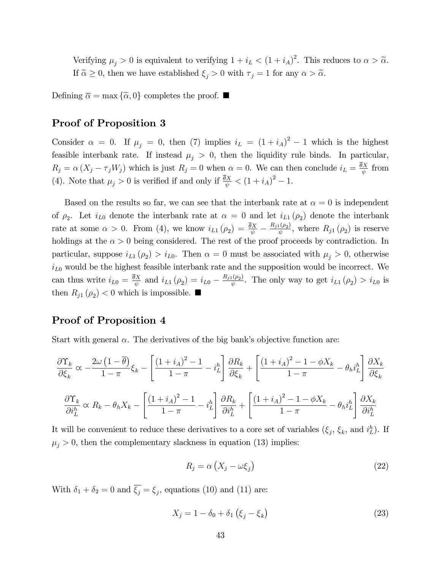Verifying  $\mu_j > 0$  is equivalent to verifying  $1 + i_L < (1 + i_A)^2$ . This reduces to  $\alpha > \tilde{\alpha}$ . If  $\tilde{\alpha} \geq 0$ , then we have established  $\xi_j > 0$  with  $\tau_j = 1$  for any  $\alpha > \tilde{\alpha}$ .

Defining  $\bar{\alpha} = \max \{ \tilde{\alpha}, 0 \}$  completes the proof.

#### Proof of Proposition 3

Consider  $\alpha = 0$ . If  $\mu_j = 0$ , then (7) implies  $i_L = (1 + i_A)^2 - 1$  which is the highest feasible interbank rate. If instead  $\mu_j > 0$ , then the liquidity rule binds. In particular,  $R_j = \alpha (X_j - \tau_j W_j)$  which is just  $R_j = 0$  when  $\alpha = 0$ . We can then conclude  $i_L = \frac{\theta X}{\psi}$  $\frac{dX}{\psi}$  from (4). Note that  $\mu_j > 0$  is verified if and only if  $\frac{\bar{\theta}X}{\psi} < (1 + i_A)^2 - 1$ .

Based on the results so far, we can see that the interbank rate at  $\alpha = 0$  is independent of  $\rho_2$ . Let  $i_{L0}$  denote the interbank rate at  $\alpha = 0$  and let  $i_{L1}(\rho_2)$  denote the interbank rate at some  $\alpha > 0$ . From (4), we know  $i_{L1}(\rho_2) = \frac{\bar{\theta}X}{\psi} - \frac{R_{j1}(\rho_2)}{\psi}$  $\frac{\ln(\rho_2)}{\psi}$ , where  $R_{j1}(\rho_2)$  is reserve holdings at the  $\alpha > 0$  being considered. The rest of the proof proceeds by contradiction. In particular, suppose  $i_{L1}(\rho_2) > i_{L0}$ . Then  $\alpha = 0$  must be associated with  $\mu_j > 0$ , otherwise  $i_{L0}$  would be the highest feasible interbank rate and the supposition would be incorrect. We can thus write  $i_{L0} = \frac{\theta X}{\psi}$  $\frac{\partial X}{\partial \psi}$  and  $i_{L1}(\rho_2) = i_{L0} - \frac{R_{j1}(\rho_2)}{\psi}$  $\frac{d(\rho_2)}{\psi}$ . The only way to get  $i_{L1}(\rho_2) > i_{L0}$  is then  $R_{j1}(\rho_2) < 0$  which is impossible.

### Proof of Proposition 4

Start with general  $\alpha$ . The derivatives of the big bank's objective function are:

$$
\frac{\partial \Upsilon_k}{\partial \xi_k} \propto -\frac{2\omega \left(1 - \overline{\theta}\right)}{1 - \pi} \xi_k - \left[ \frac{\left(1 + i_A\right)^2 - 1}{1 - \pi} - i_L^h \right] \frac{\partial R_k}{\partial \xi_k} + \left[ \frac{\left(1 + i_A\right)^2 - 1 - \phi X_k}{1 - \pi} - \theta_h i_L^h \right] \frac{\partial X_k}{\partial \xi_k}
$$

$$
\frac{\partial \Upsilon_k}{\partial i_L^h} \propto R_k - \theta_h X_k - \left[ \frac{\left(1 + i_A\right)^2 - 1}{1 - \pi} - i_L^h \right] \frac{\partial R_k}{\partial i_L^h} + \left[ \frac{\left(1 + i_A\right)^2 - 1 - \phi X_k}{1 - \pi} - \theta_h i_L^h \right] \frac{\partial X_k}{\partial i_L^h}
$$

It will be convenient to reduce these derivatives to a core set of variables  $(\xi_j, \xi_k, \text{ and } i_L^h)$ . If  $\mu_j > 0$ , then the complementary slackness in equation (13) implies:

$$
R_j = \alpha \left( X_j - \omega \xi_j \right) \tag{22}
$$

With  $\delta_1 + \delta_2 = 0$  and  $\xi_j = \xi_j$ , equations (10) and (11) are:

$$
X_j = 1 - \delta_0 + \delta_1 (\xi_j - \xi_k)
$$
 (23)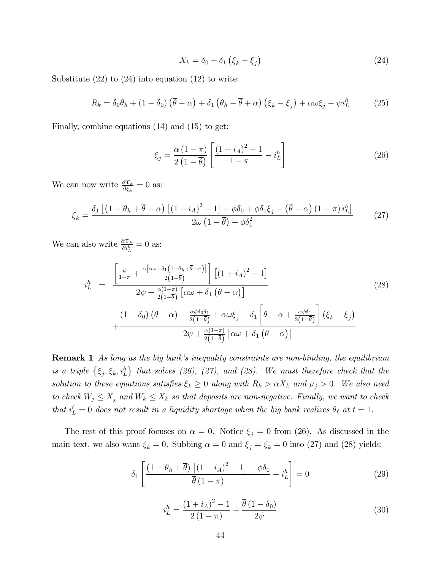$$
X_k = \delta_0 + \delta_1 \left( \xi_k - \xi_j \right) \tag{24}
$$

Substitute  $(22)$  to  $(24)$  into equation  $(12)$  to write:

$$
R_k = \delta_0 \theta_h + (1 - \delta_0) \left( \overline{\theta} - \alpha \right) + \delta_1 \left( \theta_h - \overline{\theta} + \alpha \right) \left( \xi_k - \xi_j \right) + \alpha \omega \xi_j - \psi i_L^h \tag{25}
$$

Finally, combine equations (14) and (15) to get:

$$
\xi_j = \frac{\alpha \left(1 - \pi\right)}{2 \left(1 - \overline{\theta}\right)} \left[ \frac{\left(1 + i_A\right)^2 - 1}{1 - \pi} - i_L^h \right] \tag{26}
$$

We can now write  $\frac{\partial \Upsilon_k}{\partial \xi_k} = 0$  as:

$$
\xi_{k} = \frac{\delta_{1}\left[\left(1-\theta_{h}+\overline{\theta}-\alpha\right)\left[\left(1+i_{A}\right)^{2}-1\right]-\phi\delta_{0}+\phi\delta_{1}\xi_{j}-\left(\overline{\theta}-\alpha\right)\left(1-\pi\right)i_{L}^{h}\right]}{2\omega\left(1-\overline{\theta}\right)+\phi\delta_{1}^{2}}\tag{27}
$$

We can also write  $\frac{\partial \Upsilon_k}{\partial i_L^h} = 0$  as:

$$
i_{L}^{h} = \frac{\left[\frac{\psi}{1-\pi} + \frac{\alpha[\alpha\omega + \delta_{1}(1-\theta_{h}+\overline{\theta}-\alpha)]}{2(1-\overline{\theta})}\right] \left[(1+i_{A})^{2}-1\right]}{2\psi + \frac{\alpha(1-\pi)}{2(1-\overline{\theta})}\left[\alpha\omega + \delta_{1}\left(\overline{\theta}-\alpha\right)\right]} \qquad (28)
$$

$$
+ \frac{\left(1-\delta_{0}\right)\left(\overline{\theta}-\alpha\right) - \frac{\alpha\phi\delta_{0}\delta_{1}}{2(1-\overline{\theta})} + \alpha\omega\xi_{j} - \delta_{1}\left[\overline{\theta}-\alpha + \frac{\alpha\phi\delta_{1}}{2(1-\overline{\theta})}\right] \left(\xi_{k}-\xi_{j}\right)}{2\psi + \frac{\alpha(1-\pi)}{2(1-\overline{\theta})}\left[\alpha\omega + \delta_{1}\left(\overline{\theta}-\alpha\right)\right]}
$$

**Remark 1** As long as the big bank's inequality constraints are non-binding, the equilibrium is a triple  $\{\xi_j, \xi_k, i_L^h\}$  that solves (26), (27), and (28). We must therefore check that the solution to these equations satisfies  $\xi_k \geq 0$  along with  $R_k > \alpha X_k$  and  $\mu_j > 0$ . We also need to check  $W_j \leq X_j$  and  $W_k \leq X_k$  so that deposits are non-negative. Finally, we want to check that  $i_L^{\ell} = 0$  does not result in a liquidity shortage when the big bank realizes  $\theta_{\ell}$  at  $t = 1$ .

The rest of this proof focuses on  $\alpha = 0$ . Notice  $\xi_j = 0$  from (26). As discussed in the main text, we also want  $\xi_k = 0$ . Subbing  $\alpha = 0$  and  $\xi_j = \xi_k = 0$  into (27) and (28) yields:

$$
\delta_1 \left[ \frac{\left(1 - \theta_h + \overline{\theta}\right) \left[ \left(1 + i_A\right)^2 - 1 \right] - \phi \delta_0}{\overline{\theta} \left(1 - \pi\right)} - i_L^h \right] = 0 \tag{29}
$$

$$
i_L^h = \frac{(1 + i_A)^2 - 1}{2(1 - \pi)} + \frac{\overline{\theta}(1 - \delta_0)}{2\psi}
$$
 (30)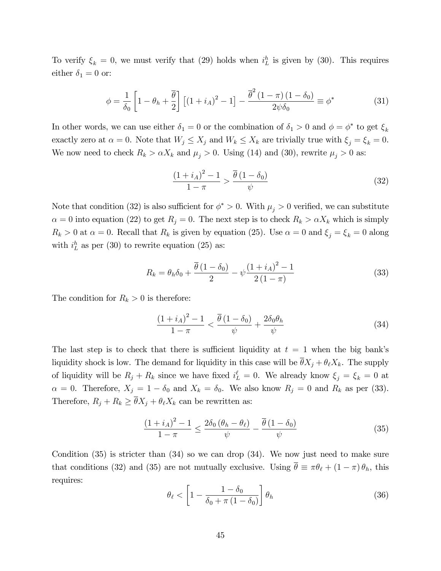To verify  $\xi_k = 0$ , we must verify that (29) holds when  $i_L^h$  is given by (30). This requires either  $\delta_1 = 0$  or:

$$
\phi = \frac{1}{\delta_0} \left[ 1 - \theta_h + \frac{\overline{\theta}}{2} \right] \left[ (1 + i_A)^2 - 1 \right] - \frac{\overline{\theta}^2 (1 - \pi) (1 - \delta_0)}{2 \psi \delta_0} \equiv \phi^* \tag{31}
$$

In other words, we can use either  $\delta_1 = 0$  or the combination of  $\delta_1 > 0$  and  $\phi = \phi^*$  to get  $\xi_k$ exactly zero at  $\alpha = 0$ . Note that  $W_j \leq X_j$  and  $W_k \leq X_k$  are trivially true with  $\xi_j = \xi_k = 0$ . We now need to check  $R_k > \alpha X_k$  and  $\mu_j > 0$ . Using (14) and (30), rewrite  $\mu_j > 0$  as:

$$
\frac{(1+i_A)^2 - 1}{1 - \pi} > \frac{\overline{\theta} (1 - \delta_0)}{\psi} \tag{32}
$$

Note that condition (32) is also sufficient for  $\phi^* > 0$ . With  $\mu_j > 0$  verified, we can substitute  $\alpha = 0$  into equation (22) to get  $R_j = 0$ . The next step is to check  $R_k > \alpha X_k$  which is simply  $R_k > 0$  at  $\alpha = 0$ . Recall that  $R_k$  is given by equation (25). Use  $\alpha = 0$  and  $\xi_j = \xi_k = 0$  along with  $i_L^h$  as per (30) to rewrite equation (25) as:

$$
R_k = \theta_h \delta_0 + \frac{\overline{\theta} (1 - \delta_0)}{2} - \psi \frac{(1 + i_A)^2 - 1}{2 (1 - \pi)}
$$
(33)

The condition for  $R_k > 0$  is therefore:

$$
\frac{\left(1+i_A\right)^2 - 1}{1 - \pi} < \frac{\overline{\theta}\left(1 - \delta_0\right)}{\psi} + \frac{2\delta_0 \theta_h}{\psi} \tag{34}
$$

The last step is to check that there is sufficient liquidity at  $t = 1$  when the big bank's liquidity shock is low. The demand for liquidity in this case will be  $\bar{\theta}X_j + \theta_{\ell}X_k$ . The supply of liquidity will be  $R_j + R_k$  since we have fixed  $i_L^{\ell} = 0$ . We already know  $\xi_j = \xi_k = 0$  at  $\alpha = 0$ . Therefore,  $X_j = 1 - \delta_0$  and  $X_k = \delta_0$ . We also know  $R_j = 0$  and  $R_k$  as per (33). Therefore,  $R_j + R_k \geq \overline{\theta} X_j + \theta_\ell X_k$  can be rewritten as:

$$
\frac{(1+i_A)^2 - 1}{1 - \pi} \le \frac{2\delta_0 \left(\theta_h - \theta_\ell\right)}{\psi} - \frac{\overline{\theta} \left(1 - \delta_0\right)}{\psi} \tag{35}
$$

Condition  $(35)$  is stricter than  $(34)$  so we can drop  $(34)$ . We now just need to make sure that conditions (32) and (35) are not mutually exclusive. Using  $\bar{\theta} \equiv \pi \theta_{\ell} + (1 - \pi) \theta_h$ , this requires:

$$
\theta_{\ell} < \left[1 - \frac{1 - \delta_0}{\delta_0 + \pi \left(1 - \delta_0\right)}\right] \theta_h \tag{36}
$$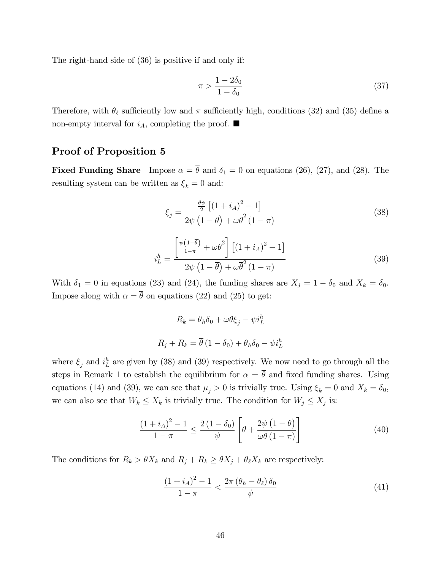The right-hand side of (36) is positive if and only if:

$$
\pi > \frac{1 - 2\delta_0}{1 - \delta_0} \tag{37}
$$

Therefore, with  $\theta_{\ell}$  sufficiently low and  $\pi$  sufficiently high, conditions (32) and (35) define a non-empty interval for  $i_A$ , completing the proof.  $\blacksquare$ 

### Proof of Proposition 5

**Fixed Funding Share** Impose  $\alpha = \overline{\theta}$  and  $\delta_1 = 0$  on equations (26), (27), and (28). The resulting system can be written as  $\xi_k = 0$  and:

$$
\xi_j = \frac{\frac{\overline{\theta}\psi}{2}\left[ (1+i_A)^2 - 1 \right]}{2\psi\left(1-\overline{\theta}\right) + \omega\overline{\theta}^2\left(1-\pi\right)}\tag{38}
$$

$$
i_L^h = \frac{\left[\frac{\psi(1-\bar{\theta})}{1-\pi} + \omega\bar{\theta}^2\right] \left[(1+i_A)^2 - 1\right]}{2\psi\left(1-\bar{\theta}\right) + \omega\bar{\theta}^2\left(1-\pi\right)}\tag{39}
$$

With  $\delta_1 = 0$  in equations (23) and (24), the funding shares are  $X_j = 1 - \delta_0$  and  $X_k = \delta_0$ . Impose along with  $\alpha = \overline{\theta}$  on equations (22) and (25) to get:

$$
R_k = \theta_h \delta_0 + \omega \overline{\theta} \xi_j - \psi i_L^h
$$

$$
R_j + R_k = \overline{\theta} (1 - \delta_0) + \theta_h \delta_0 - \psi i_L^h
$$

where  $\xi_j$  and  $i_L^h$  are given by (38) and (39) respectively. We now need to go through all the steps in Remark 1 to establish the equilibrium for  $\alpha = \overline{\theta}$  and fixed funding shares. Using equations (14) and (39), we can see that  $\mu_j > 0$  is trivially true. Using  $\xi_k = 0$  and  $X_k = \delta_0$ , we can also see that  $W_k \le X_k$  is trivially true. The condition for  $W_j \le X_j$  is:

$$
\frac{\left(1+i_{A}\right)^{2}-1}{1-\pi} \leq \frac{2\left(1-\delta_{0}\right)}{\psi} \left[\overline{\theta} + \frac{2\psi\left(1-\overline{\theta}\right)}{\omega\overline{\theta}\left(1-\pi\right)}\right]
$$
(40)

The conditions for  $R_k > \overline{\theta} X_k$  and  $R_j + R_k \ge \overline{\theta} X_j + \theta_\ell X_k$  are respectively:

$$
\frac{\left(1+i_A\right)^2 - 1}{1 - \pi} < \frac{2\pi \left(\theta_h - \theta_\ell\right)\delta_0}{\psi} \tag{41}
$$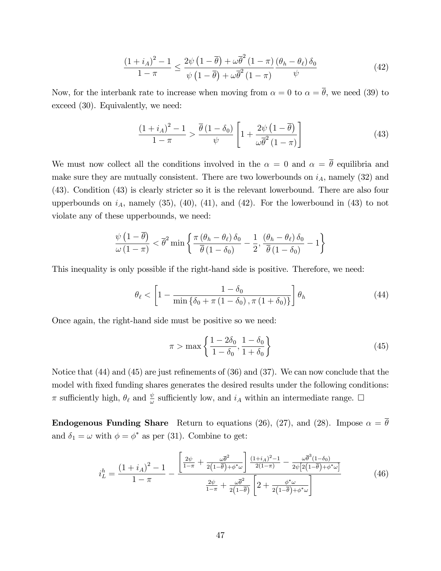$$
\frac{\left(1+i_{A}\right)^{2}-1}{1-\pi} \leq \frac{2\psi\left(1-\overline{\theta}\right)+\omega\overline{\theta}^{2}\left(1-\pi\right)}{\psi\left(1-\overline{\theta}\right)+\omega\overline{\theta}^{2}\left(1-\pi\right)}\frac{\left(\theta_{h}-\theta_{\ell}\right)\delta_{0}}{\psi} \tag{42}
$$

Now, for the interbank rate to increase when moving from  $\alpha = 0$  to  $\alpha = \overline{\theta}$ , we need (39) to exceed (30). Equivalently, we need:

$$
\frac{(1+i_A)^2 - 1}{1 - \pi} > \frac{\overline{\theta} (1 - \delta_0)}{\psi} \left[ 1 + \frac{2\psi (1 - \overline{\theta})}{\omega \overline{\theta}^2 (1 - \pi)} \right]
$$
(43)

We must now collect all the conditions involved in the  $\alpha = 0$  and  $\alpha = \overline{\theta}$  equilibria and make sure they are mutually consistent. There are two lowerbounds on  $i_A$ , namely (32) and (43). Condition (43) is clearly stricter so it is the relevant lowerbound. There are also four upperbounds on  $i_A$ , namely (35), (40), (41), and (42). For the lowerbound in (43) to not violate any of these upperbounds, we need:

$$
\frac{\psi\left(1-\overline{\theta}\right)}{\omega\left(1-\pi\right)} < \overline{\theta}^2 \min\left\{\frac{\pi\left(\theta_h - \theta_\ell\right)\delta_0}{\overline{\theta}\left(1-\delta_0\right)} - \frac{1}{2}, \frac{\left(\theta_h - \theta_\ell\right)\delta_0}{\overline{\theta}\left(1-\delta_0\right)} - 1\right\}
$$

This inequality is only possible if the right-hand side is positive. Therefore, we need:

$$
\theta_{\ell} < \left[1 - \frac{1 - \delta_0}{\min\left\{\delta_0 + \pi \left(1 - \delta_0\right), \pi \left(1 + \delta_0\right)\right\}}\right] \theta_h \tag{44}
$$

Once again, the right-hand side must be positive so we need:

$$
\pi > \max\left\{ \frac{1 - 2\delta_0}{1 - \delta_0}, \frac{1 - \delta_0}{1 + \delta_0} \right\}
$$
\n(45)

Notice that  $(44)$  and  $(45)$  are just refinements of  $(36)$  and  $(37)$ . We can now conclude that the model with fixed funding shares generates the desired results under the following conditions:  $\pi$  sufficiently high,  $\theta_{\ell}$  and  $\frac{\psi}{\omega}$  sufficiently low, and  $i_A$  within an intermediate range.  $\Box$ 

**Endogenous Funding Share** Return to equations (26), (27), and (28). Impose  $\alpha = \overline{\theta}$ and  $\delta_1 = \omega$  with  $\phi = \phi^*$  as per (31). Combine to get:

$$
i_{L}^{h} = \frac{\left(1+i_{A}\right)^{2}-1}{1-\pi} - \frac{\left[\frac{2\psi}{1-\pi} + \frac{\omega\bar{\theta}^{2}}{2\left(1-\bar{\theta}\right)+\phi^{*}\omega}\right] \frac{\left(1+i_{A}\right)^{2}-1}{2\left(1-\pi\right)} - \frac{\omega\bar{\theta}^{3}\left(1-\delta_{0}\right)}{2\psi\left[2\left(1-\bar{\theta}\right)+\phi^{*}\omega\right]}}{\frac{2\psi}{1-\pi} + \frac{\omega\bar{\theta}^{2}}{2\left(1-\bar{\theta}\right)} \left[2 + \frac{\phi^{*}\omega}{2\left(1-\bar{\theta}\right)+\phi^{*}\omega}\right]} \tag{46}
$$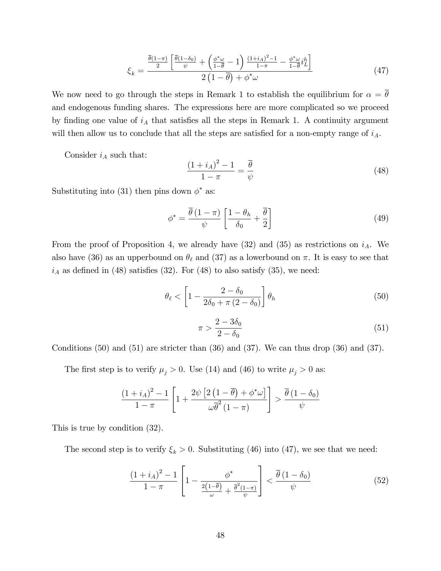$$
\xi_k = \frac{\frac{\overline{\theta}(1-\pi)}{2} \left[ \frac{\overline{\theta}(1-\delta_0)}{\psi} + \left( \frac{\phi^* \omega}{1-\overline{\theta}} - 1 \right) \frac{(1+i_A)^2 - 1}{1-\pi} - \frac{\phi^* \omega}{1-\overline{\theta}} i^h \right]}{2 \left( 1 - \overline{\theta} \right) + \phi^* \omega} \tag{47}
$$

We now need to go through the steps in Remark 1 to establish the equilibrium for  $\alpha = \overline{\theta}$ and endogenous funding shares. The expressions here are more complicated so we proceed by finding one value of  $i_A$  that satisfies all the steps in Remark 1. A continuity argument will then allow us to conclude that all the steps are satisfied for a non-empty range of  $i_A$ .

Consider  $i_A$  such that:

$$
\frac{\left(1+i_A\right)^2 - 1}{1 - \pi} = \frac{\overline{\theta}}{\psi} \tag{48}
$$

Substituting into (31) then pins down  $\phi^*$  as:

$$
\phi^* = \frac{\overline{\theta} (1 - \pi)}{\psi} \left[ \frac{1 - \theta_h}{\delta_0} + \frac{\overline{\theta}}{2} \right]
$$
(49)

From the proof of Proposition 4, we already have  $(32)$  and  $(35)$  as restrictions on  $i_A$ . We also have (36) as an upperbound on  $\theta_{\ell}$  and (37) as a lowerbound on  $\pi$ . It is easy to see that  $i_A$  as defined in (48) satisfies (32). For (48) to also satisfy (35), we need:

$$
\theta_{\ell} < \left[1 - \frac{2 - \delta_0}{2\delta_0 + \pi (2 - \delta_0)}\right] \theta_h \tag{50}
$$

$$
\pi > \frac{2 - 3\delta_0}{2 - \delta_0} \tag{51}
$$

Conditions  $(50)$  and  $(51)$  are stricter than  $(36)$  and  $(37)$ . We can thus drop  $(36)$  and  $(37)$ .

The first step is to verify  $\mu_j > 0$ . Use (14) and (46) to write  $\mu_j > 0$  as:

$$
\frac{\left(1+i_A\right)^2 - 1}{1 - \pi} \left[1 + \frac{2\psi \left[2\left(1 - \overline{\theta}\right) + \phi^* \omega\right]}{\omega \overline{\theta}^2 \left(1 - \pi\right)}\right] > \frac{\overline{\theta} \left(1 - \delta_0\right)}{\psi}
$$

This is true by condition (32).

The second step is to verify  $\xi_k > 0$ . Substituting (46) into (47), we see that we need:

$$
\frac{(1+i_A)^2 - 1}{1 - \pi} \left[ 1 - \frac{\phi^*}{\frac{2(1-\overline{\theta})}{\omega} + \frac{\overline{\theta}^2(1-\pi)}{\psi}} \right] < \frac{\overline{\theta}(1-\delta_0)}{\psi} \tag{52}
$$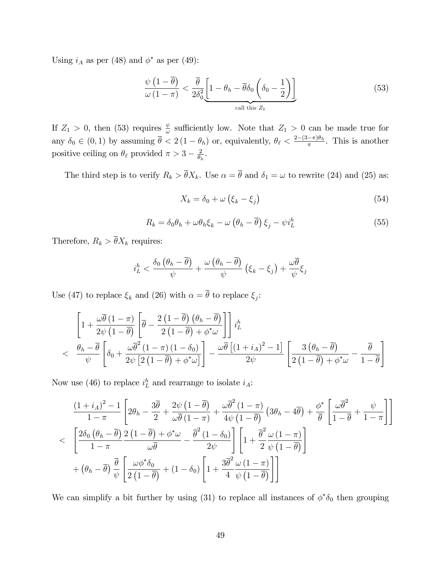Using  $i_A$  as per (48) and  $\phi^*$  as per (49):

$$
\frac{\psi\left(1-\overline{\theta}\right)}{\omega\left(1-\pi\right)} < \frac{\overline{\theta}}{2\delta_0^2} \underbrace{\left[1-\theta_h-\overline{\theta}\delta_0\left(\delta_0-\frac{1}{2}\right)\right]}_{\text{call this } Z_1} \tag{53}
$$

If  $Z_1 > 0$ , then (53) requires  $\frac{\psi}{\omega}$  sufficiently low. Note that  $Z_1 > 0$  can be made true for any  $\delta_0 \in (0,1)$  by assuming  $\bar{\theta} < 2(1-\theta_h)$  or, equivalently,  $\theta_{\ell} < \frac{2-(3-\pi)\theta_h}{\pi}$ . This is another positive ceiling on  $\theta_{\ell}$  provided  $\pi > 3 - \frac{2}{\theta_{\ell}}$  $\frac{2}{\theta_h}$ .

The third step is to verify  $R_k > \overline{\theta} X_k$ . Use  $\alpha = \overline{\theta}$  and  $\delta_1 = \omega$  to rewrite (24) and (25) as:

$$
X_k = \delta_0 + \omega \left( \xi_k - \xi_j \right) \tag{54}
$$

$$
R_k = \delta_0 \theta_h + \omega \theta_h \xi_k - \omega \left(\theta_h - \overline{\theta}\right) \xi_j - \psi i_L^h \tag{55}
$$

Therefore,  $R_k > \overline{\theta} X_k$  requires:

$$
i_L^h < \frac{\delta_0 (\theta_h - \overline{\theta})}{\psi} + \frac{\omega (\theta_h - \overline{\theta})}{\psi} (\xi_k - \xi_j) + \frac{\omega \overline{\theta}}{\psi} \xi_j
$$

Use (47) to replace  $\xi_k$  and (26) with  $\alpha = \theta$  to replace  $\xi_j$ :

$$
\left[1+\frac{\omega\overline{\theta}\left(1-\pi\right)}{2\psi\left(1-\overline{\theta}\right)}\left[\overline{\theta}-\frac{2\left(1-\overline{\theta}\right)\left(\theta_{h}-\overline{\theta}\right)}{2\left(1-\overline{\theta}\right)+\phi^{*}\omega}\right]\right]i_{L}^{h}
$$
\n
$$
< \frac{\theta_{h}-\overline{\theta}}{\psi}\left[\delta_{0}+\frac{\omega\overline{\theta}^{2}\left(1-\pi\right)\left(1-\delta_{0}\right)}{2\psi\left[2\left(1-\overline{\theta}\right)+\phi^{*}\omega\right]}\right]-\frac{\omega\overline{\theta}\left[\left(1+i_{A}\right)^{2}-1\right]}{2\psi}\left[\frac{3\left(\theta_{h}-\overline{\theta}\right)}{2\left(1-\overline{\theta}\right)+\phi^{*}\omega}-\frac{\overline{\theta}}{1-\overline{\theta}}\right]
$$

Now use (46) to replace  $i_L^h$  and rearrange to isolate  $i_A$ :

$$
\frac{(1+i_A)^2 - 1}{1 - \pi} \left[ 2\theta_h - \frac{3\overline{\theta}}{2} + \frac{2\psi (1 - \overline{\theta})}{\omega \overline{\theta} (1 - \pi)} + \frac{\omega \overline{\theta}^2 (1 - \pi)}{4\psi (1 - \overline{\theta})} (3\theta_h - 4\overline{\theta}) + \frac{\phi^*}{\overline{\theta}} \left[ \frac{\omega \overline{\theta}^2}{1 - \overline{\theta}} + \frac{\psi}{1 - \pi} \right] \right]
$$
  

$$
< \left[ \frac{2\delta_0 (\theta_h - \overline{\theta})}{1 - \pi} \frac{2 (1 - \overline{\theta}) + \phi^* \omega}{\omega \overline{\theta}} - \frac{\overline{\theta}^2 (1 - \delta_0)}{2\psi} \right] \left[ 1 + \frac{\overline{\theta}^2}{2} \frac{\omega (1 - \pi)}{\psi (1 - \overline{\theta})} \right]
$$
  

$$
+ (\theta_h - \overline{\theta}) \frac{\overline{\theta}}{\psi} \left[ \frac{\omega \phi^* \delta_0}{2 (1 - \overline{\theta})} + (1 - \delta_0) \left[ 1 + \frac{3\overline{\theta}^2}{4} \frac{\omega (1 - \pi)}{\psi (1 - \overline{\theta})} \right] \right]
$$

We can simplify a bit further by using (31) to replace all instances of  $\phi^*\delta_0$  then grouping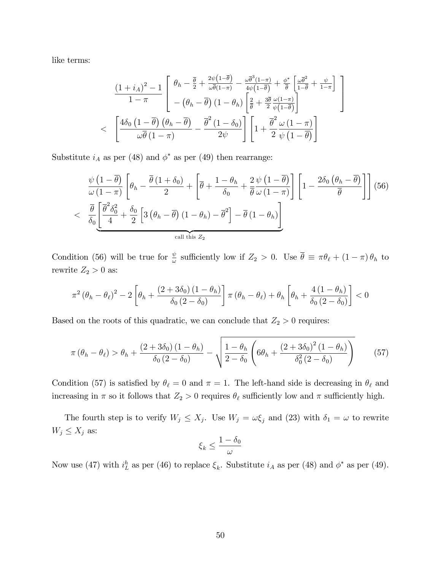like terms:

$$
\frac{(1+i_A)^2 - 1}{1 - \pi} \left[ \begin{array}{c} \theta_h - \frac{\overline{\theta}}{2} + \frac{2\psi(1-\overline{\theta})}{\omega\overline{\theta}(1-\pi)} - \frac{\omega\overline{\theta}^3(1-\pi)}{4\psi(1-\overline{\theta})} + \frac{\phi^*}{\overline{\theta}} \left[ \frac{\omega\overline{\theta}^2}{1-\overline{\theta}} + \frac{\psi}{1-\pi} \right] \\ - (\theta_h - \overline{\theta}) (1 - \theta_h) \left[ \frac{2}{\overline{\theta}} + \frac{3\overline{\theta}}{2} \frac{\omega(1-\pi)}{\psi(1-\overline{\theta})} \right] \\ < \left[ \frac{4\delta_0 (1-\overline{\theta}) (\theta_h - \overline{\theta})}{\omega\overline{\theta}(1-\pi)} - \frac{\overline{\theta}^2 (1-\delta_0)}{2\psi} \right] \left[ 1 + \frac{\overline{\theta}^2}{2} \frac{\omega (1-\pi)}{\psi(1-\overline{\theta})} \right]
$$

Substitute  $i_A$  as per (48) and  $\phi^*$  as per (49) then rearrange:

$$
\frac{\psi\left(1-\overline{\theta}\right)}{\omega\left(1-\pi\right)}\left[\theta_{h}-\frac{\overline{\theta}\left(1+\delta_{0}\right)}{2}+\left[\overline{\theta}+\frac{1-\theta_{h}}{\delta_{0}}+\frac{2}{\overline{\theta}}\frac{\psi\left(1-\overline{\theta}\right)}{\omega\left(1-\pi\right)}\right]\left[1-\frac{2\delta_{0}\left(\theta_{h}-\overline{\theta}\right)}{\overline{\theta}}\right]\right] (56)
$$
\n
$$
< \frac{\overline{\theta}}{\delta_{0}}\left[\frac{\overline{\theta}^{2}\delta_{0}^{2}}{4}+\frac{\delta_{0}}{2}\left[3\left(\theta_{h}-\overline{\theta}\right)\left(1-\theta_{h}\right)-\overline{\theta}^{2}\right]-\overline{\theta}\left(1-\theta_{h}\right)\right]
$$

Condition (56) will be true for  $\frac{\psi}{\omega}$  sufficiently low if  $Z_2 > 0$ . Use  $\overline{\theta} \equiv \pi \theta_{\ell} + (1 - \pi) \theta_h$  to rewrite  $Z_2 > 0$  as:

$$
\pi^2 \left(\theta_h - \theta_\ell\right)^2 - 2 \left[\theta_h + \frac{\left(2 + 3\delta_0\right)\left(1 - \theta_h\right)}{\delta_0 \left(2 - \delta_0\right)}\right] \pi \left(\theta_h - \theta_\ell\right) + \theta_h \left[\theta_h + \frac{4\left(1 - \theta_h\right)}{\delta_0 \left(2 - \delta_0\right)}\right] < 0
$$

Based on the roots of this quadratic, we can conclude that  $Z_2 > 0$  requires:

$$
\pi\left(\theta_h - \theta_\ell\right) > \theta_h + \frac{\left(2 + 3\delta_0\right)\left(1 - \theta_h\right)}{\delta_0\left(2 - \delta_0\right)} - \sqrt{\frac{1 - \theta_h}{2 - \delta_0} \left(6\theta_h + \frac{\left(2 + 3\delta_0\right)^2 \left(1 - \theta_h\right)}{\delta_0^2 \left(2 - \delta_0\right)}\right)}\tag{57}
$$

Condition (57) is satisfied by  $\theta_{\ell} = 0$  and  $\pi = 1$ . The left-hand side is decreasing in  $\theta_{\ell}$  and increasing in  $\pi$  so it follows that  $Z_2 > 0$  requires  $\theta_\ell$  sufficiently low and  $\pi$  sufficiently high.

The fourth step is to verify  $W_j \leq X_j$ . Use  $W_j = \omega \xi_j$  and (23) with  $\delta_1 = \omega$  to rewrite  $W_j \leq X_j$  as:

$$
\xi_k \leq \frac{1-\delta_0}{\omega}
$$

Now use (47) with  $i_L^h$  as per (46) to replace  $\xi_k$ . Substitute  $i_A$  as per (48) and  $\phi^*$  as per (49).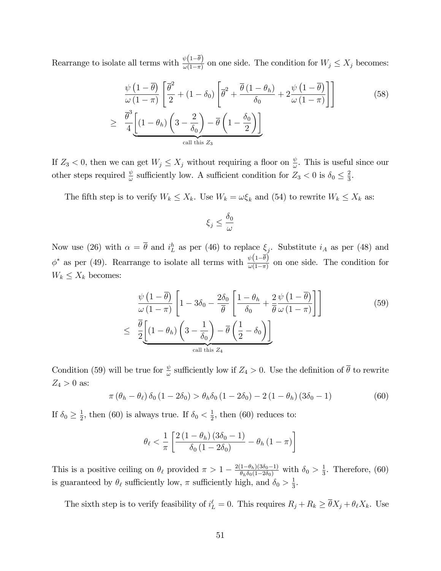Rearrange to isolate all terms with  $\frac{\psi(1-\bar{\theta})}{\omega(1-\pi)}$  on one side. The condition for  $W_j \le X_j$  becomes:

$$
\frac{\psi\left(1-\overline{\theta}\right)}{\omega\left(1-\pi\right)}\left[\frac{\overline{\theta}^{2}}{2} + \left(1-\delta_{0}\right)\left[\overline{\theta}^{2} + \frac{\overline{\theta}\left(1-\theta_{h}\right)}{\delta_{0}} + 2\frac{\psi\left(1-\overline{\theta}\right)}{\omega\left(1-\pi\right)}\right]\right]
$$
\n
$$
\geq \frac{\overline{\theta}^{3}}{4}\underbrace{\left[\left(1-\theta_{h}\right)\left(3-\frac{2}{\delta_{0}}\right)-\overline{\theta}\left(1-\frac{\delta_{0}}{2}\right)\right]}_{\text{call this } Z_{3}}
$$
\n(58)

If  $Z_3 < 0$ , then we can get  $W_j \le X_j$  without requiring a floor on  $\frac{\psi}{\omega}$ . This is useful since our other steps required  $\frac{\psi}{\omega}$  sufficiently low. A sufficient condition for  $Z_3 < 0$  is  $\delta_0 \leq \frac{2}{3}$  $\frac{2}{3}$ .

The fifth step is to verify  $W_k \le X_k$ . Use  $W_k = \omega \xi_k$  and (54) to rewrite  $W_k \le X_k$  as:

$$
\xi_j \leq \frac{\delta_0}{\omega}
$$

Now use (26) with  $\alpha = \bar{\theta}$  and  $i_L^h$  as per (46) to replace  $\xi_j$ . Substitute  $i_A$  as per (48) and  $\phi^*$  as per (49). Rearrange to isolate all terms with  $\frac{\psi(1-\bar{\theta})}{\omega(1-\pi)}$  on one side. The condition for  $W_k \leq X_k$  becomes:

$$
\frac{\psi\left(1-\overline{\theta}\right)}{\omega\left(1-\pi\right)}\left[1-3\delta_{0}-\frac{2\delta_{0}}{\overline{\theta}}\left[\frac{1-\theta_{h}}{\delta_{0}}+\frac{2}{\overline{\theta}}\frac{\psi\left(1-\overline{\theta}\right)}{\omega\left(1-\pi\right)}\right]\right]
$$
\n
$$
\leq \frac{\overline{\theta}}{2}\underbrace{\left[(1-\theta_{h})\left(3-\frac{1}{\delta_{0}}\right)-\overline{\theta}\left(\frac{1}{2}-\delta_{0}\right)\right]}_{\text{call this } Z_{4}}\tag{59}
$$

Condition (59) will be true for  $\frac{\psi}{\omega}$  sufficiently low if  $Z_4 > 0$ . Use the definition of  $\overline{\theta}$  to rewrite  $Z_4 > 0$  as:

$$
\pi \left(\theta_h - \theta_\ell\right) \delta_0 \left(1 - 2\delta_0\right) > \theta_h \delta_0 \left(1 - 2\delta_0\right) - 2\left(1 - \theta_h\right) \left(3\delta_0 - 1\right) \tag{60}
$$

If  $\delta_0 \geq \frac{1}{2}$  $\frac{1}{2}$ , then (60) is always true. If  $\delta_0 < \frac{1}{2}$  $\frac{1}{2}$ , then (60) reduces to:

$$
\theta_{\ell} < \frac{1}{\pi} \left[ \frac{2\left(1-\theta_h\right)\left(3\delta_0 - 1\right)}{\delta_0\left(1 - 2\delta_0\right)} - \theta_h\left(1 - \pi\right) \right]
$$

This is a positive ceiling on  $\theta_{\ell}$  provided  $\pi > 1 - \frac{2(1-\theta_h)(3\delta_0-1)}{\theta_h\delta_0(1-2\delta_0)}$  with  $\delta_0 > \frac{1}{3}$  $\frac{1}{3}$ . Therefore, (60) is guaranteed by  $\theta_{\ell}$  sufficiently low,  $\pi$  sufficiently high, and  $\delta_0 > \frac{1}{3}$  $\frac{1}{3}$ .

The sixth step is to verify feasibility of  $i_L^{\ell} = 0$ . This requires  $R_j + R_k \ge \overline{\theta} X_j + \theta_{\ell} X_k$ . Use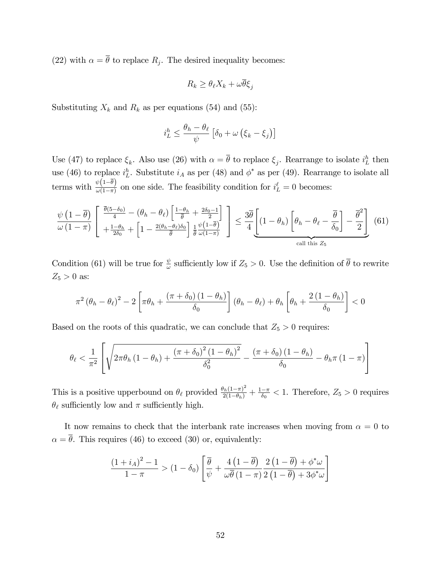(22) with  $\alpha = \theta$  to replace  $R_j$ . The desired inequality becomes:

$$
R_k \ge \theta_\ell X_k + \omega \overline{\theta} \xi_j
$$

Substituting  $X_k$  and  $R_k$  as per equations (54) and (55):

$$
i_L^h \le \frac{\theta_h - \theta_\ell}{\psi} \left[ \delta_0 + \omega \left( \xi_k - \xi_j \right) \right]
$$

Use (47) to replace  $\xi_k$ . Also use (26) with  $\alpha = \overline{\theta}$  to replace  $\xi_j$ . Rearrange to isolate  $i_L^h$  then use (46) to replace  $i_L^h$ . Substitute  $i_A$  as per (48) and  $\phi^*$  as per (49). Rearrange to isolate all terms with  $\frac{\psi(1-\bar{\theta})}{\omega(1-\pi)}$  on one side. The feasibility condition for  $i_L^{\ell} = 0$  becomes:

$$
\frac{\psi\left(1-\overline{\theta}\right)}{\omega\left(1-\pi\right)}\begin{bmatrix}\frac{\overline{\theta}(5-\delta_0)}{4}-\left(\theta_h-\theta_\ell\right)\left[\frac{1-\theta_h}{\overline{\theta}}+\frac{2\delta_0-1}{2}\right]\\\frac{1-\theta_h}{2\delta_0}+\left[1-\frac{2\left(\theta_h-\theta_\ell\right)\delta_0}{\overline{\theta}}\right]\frac{1}{\overline{\theta}}\frac{\psi\left(1-\overline{\theta}\right)}{\omega(1-\pi)}\end{bmatrix}\leq \frac{3\overline{\theta}}{4}\underbrace{\left[(1-\theta_h)\left[\theta_h-\theta_\ell-\frac{\overline{\theta}}{\delta_0}\right]-\frac{\overline{\theta}^2}{2}\right]}_{\text{call this }Z_5}\tag{61}
$$

Condition (61) will be true for  $\frac{\psi}{\omega}$  sufficiently low if  $Z_5 > 0$ . Use the definition of  $\overline{\theta}$  to rewrite  $Z_5 > 0$  as:

$$
\pi^2 \left(\theta_h - \theta_\ell\right)^2 - 2 \left[ \pi \theta_h + \frac{\left(\pi + \delta_0\right)\left(1 - \theta_h\right)}{\delta_0} \right] \left(\theta_h - \theta_\ell\right) + \theta_h \left[\theta_h + \frac{2\left(1 - \theta_h\right)}{\delta_0} \right] < 0
$$

Based on the roots of this quadratic, we can conclude that  $Z_5 > 0$  requires:

$$
\theta_{\ell} < \frac{1}{\pi^2} \left[ \sqrt{2\pi \theta_h \left(1 - \theta_h\right) + \frac{\left(\pi + \delta_0\right)^2 \left(1 - \theta_h\right)^2}{\delta_0^2}} - \frac{\left(\pi + \delta_0\right) \left(1 - \theta_h\right)}{\delta_0} - \theta_h \pi \left(1 - \pi\right) \right]
$$

This is a positive upperbound on  $\theta_{\ell}$  provided  $\frac{\theta_h(1-\pi)^2}{2(1-\theta_h)} + \frac{1-\pi}{\delta_0} < 1$ . Therefore,  $Z_5 > 0$  requires  $\theta_{\ell}$  sufficiently low and  $\pi$  sufficiently high.

It now remains to check that the interbank rate increases when moving from  $\alpha = 0$  to  $\alpha = \overline{\theta}$ . This requires (46) to exceed (30) or, equivalently:

$$
\frac{\left(1+i_A\right)^2 - 1}{1 - \pi} > \left(1 - \delta_0\right) \left[ \frac{\overline{\theta}}{\psi} + \frac{4\left(1 - \overline{\theta}\right)}{\omega \overline{\theta}\left(1 - \pi\right)} \frac{2\left(1 - \overline{\theta}\right) + \phi^* \omega}{2\left(1 - \overline{\theta}\right) + 3\phi^* \omega} \right]
$$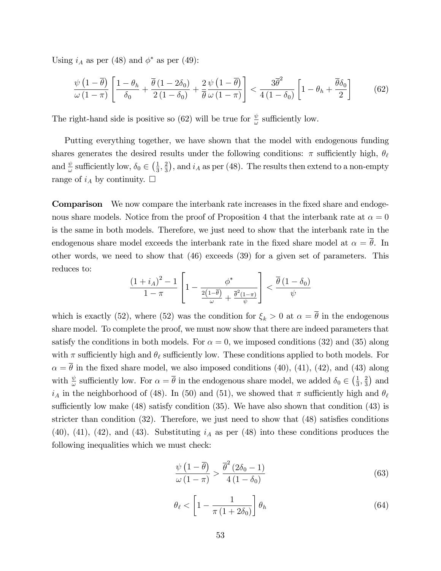Using  $i_A$  as per (48) and  $\phi^*$  as per (49):

$$
\frac{\psi\left(1-\overline{\theta}\right)}{\omega\left(1-\pi\right)}\left[\frac{1-\theta_h}{\delta_0}+\frac{\overline{\theta}\left(1-2\delta_0\right)}{2\left(1-\delta_0\right)}+\frac{2}{\overline{\theta}}\frac{\psi\left(1-\overline{\theta}\right)}{\omega\left(1-\pi\right)}\right]<\frac{3\overline{\theta}^2}{4\left(1-\delta_0\right)}\left[1-\theta_h+\frac{\overline{\theta}\delta_0}{2}\right]
$$
(62)

The right-hand side is positive so (62) will be true for  $\frac{\psi}{\omega}$  sufficiently low.

Putting everything together, we have shown that the model with endogenous funding shares generates the desired results under the following conditions:  $\pi$  sufficiently high,  $\theta_{\ell}$ and  $\frac{\psi}{\omega}$  sufficiently low,  $\delta_0 \in \left(\frac{1}{3}\right)$  $\frac{1}{3}, \frac{2}{3}$  $\frac{2}{3}$ , and  $i_A$  as per (48). The results then extend to a non-empty range of  $i_A$  by continuity.  $\Box$ 

**Comparison** We now compare the interbank rate increases in the fixed share and endogenous share models. Notice from the proof of Proposition 4 that the interbank rate at  $\alpha = 0$ is the same in both models. Therefore, we just need to show that the interbank rate in the endogenous share model exceeds the interbank rate in the fixed share model at  $\alpha = \overline{\theta}$ . In other words, we need to show that (46) exceeds (39) for a given set of parameters. This reduces to:

$$
\frac{(1+i_A)^2-1}{1-\pi}\left[1-\frac{\phi^*}{\frac{2\left(1-\bar{\theta}\right)}{\omega}+\frac{\bar{\theta}^2(1-\pi)}{\psi}}\right]<\frac{\overline{\theta}\left(1-\delta_0\right)}{\psi}
$$

which is exactly (52), where (52) was the condition for  $\xi_k > 0$  at  $\alpha = \overline{\theta}$  in the endogenous share model. To complete the proof, we must now show that there are indeed parameters that satisfy the conditions in both models. For  $\alpha = 0$ , we imposed conditions (32) and (35) along with  $\pi$  sufficiently high and  $\theta_{\ell}$  sufficiently low. These conditions applied to both models. For  $\alpha = \overline{\theta}$  in the fixed share model, we also imposed conditions (40), (41), (42), and (43) along with  $\frac{\psi}{\omega}$  sufficiently low. For  $\alpha = \overline{\theta}$  in the endogenous share model, we added  $\delta_0 \in (\frac{1}{3})$  $\frac{1}{3}, \frac{2}{3}$  $\frac{2}{3}$ ) and  $i_A$  in the neighborhood of (48). In (50) and (51), we showed that  $\pi$  sufficiently high and  $\theta_\ell$ sufficiently low make  $(48)$  satisfy condition  $(35)$ . We have also shown that condition  $(43)$  is stricter than condition  $(32)$ . Therefore, we just need to show that  $(48)$  satisfies conditions (40), (41), (42), and (43). Substituting  $i_A$  as per (48) into these conditions produces the following inequalities which we must check:

$$
\frac{\psi\left(1-\overline{\theta}\right)}{\omega\left(1-\pi\right)} > \frac{\overline{\theta}^2\left(2\delta_0 - 1\right)}{4\left(1-\delta_0\right)}\tag{63}
$$

$$
\theta_{\ell} < \left[1 - \frac{1}{\pi \left(1 + 2\delta_0\right)}\right] \theta_h \tag{64}
$$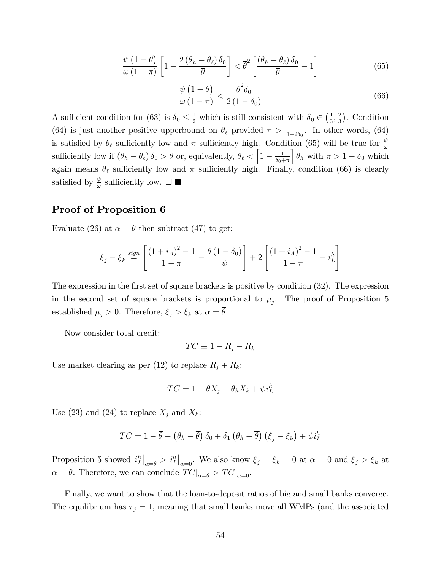$$
\frac{\psi\left(1-\overline{\theta}\right)}{\omega\left(1-\pi\right)}\left[1-\frac{2\left(\theta_h-\theta_\ell\right)\delta_0}{\overline{\theta}}\right] < \overline{\theta}^2\left[\frac{\left(\theta_h-\theta_\ell\right)\delta_0}{\overline{\theta}}-1\right] \tag{65}
$$

$$
\frac{\psi\left(1-\overline{\theta}\right)}{\omega\left(1-\pi\right)} < \frac{\overline{\theta}^2 \delta_0}{2\left(1-\delta_0\right)}\tag{66}
$$

A sufficient condition for (63) is  $\delta_0 \leq \frac{1}{2}$  which is still consistent with  $\delta_0 \in (\frac{1}{3})$  $\frac{1}{3}, \frac{2}{3}$  $\frac{2}{3}$ . Condition (64) is just another positive upperbound on  $\theta_{\ell}$  provided  $\pi > \frac{1}{1+2\delta_0}$ . In other words, (64) is satisfied by  $\theta_{\ell}$  sufficiently low and  $\pi$  sufficiently high. Condition (65) will be true for  $\frac{\psi}{\omega}$ sufficiently low if  $(\theta_h - \theta_\ell) \delta_0 > \overline{\theta}$  or, equivalently,  $\theta_\ell < \left[1 - \frac{1}{\delta_0 + \epsilon}\right]$  $\delta_0+\pi$  $\theta_h$  with  $\pi > 1 - \delta_0$  which again means  $\theta_{\ell}$  sufficiently low and  $\pi$  sufficiently high. Finally, condition (66) is clearly satisfied by  $\frac{\psi}{\omega}$  sufficiently low.  $\square$ 

#### Proof of Proposition 6

Evaluate (26) at  $\alpha = \overline{\theta}$  then subtract (47) to get:

$$
\xi_j - \xi_k \stackrel{sign}{=} \left[ \frac{(1 + i_A)^2 - 1}{1 - \pi} - \frac{\overline{\theta} (1 - \delta_0)}{\psi} \right] + 2 \left[ \frac{(1 + i_A)^2 - 1}{1 - \pi} - i_L^h \right]
$$

The expression in the first set of square brackets is positive by condition  $(32)$ . The expression in the second set of square brackets is proportional to  $\mu_j$ . The proof of Proposition 5 established  $\mu_j > 0$ . Therefore,  $\xi_j > \xi_k$  at  $\alpha = \overline{\theta}$ .

Now consider total credit:

$$
TC \equiv 1 - R_j - R_k
$$

Use market clearing as per (12) to replace  $R_j + R_k$ :

$$
TC = 1 - \overline{\theta}X_j - \theta_h X_k + \psi i_L^h
$$

Use (23) and (24) to replace  $X_i$  and  $X_k$ :

$$
TC = 1 - \overline{\theta} - (\theta_h - \overline{\theta}) \delta_0 + \delta_1 (\theta_h - \overline{\theta}) (\xi_j - \xi_k) + \psi i_L^h
$$

Proposition 5 showed  $i_L^h|_{\alpha=\bar{\theta}} > i_L^h|_{\alpha=0}$ . We also know  $\xi_j = \xi_k = 0$  at  $\alpha = 0$  and  $\xi_j > \xi_k$  at  $\alpha = \overline{\theta}.$  Therefore, we can conclude  $\left.TC\right|_{\alpha = \overline{\theta}} > \left.TC\right|_{\alpha = 0}.$ 

Finally, we want to show that the loan-to-deposit ratios of big and small banks converge. The equilibrium has  $\tau_j = 1$ , meaning that small banks move all WMPs (and the associated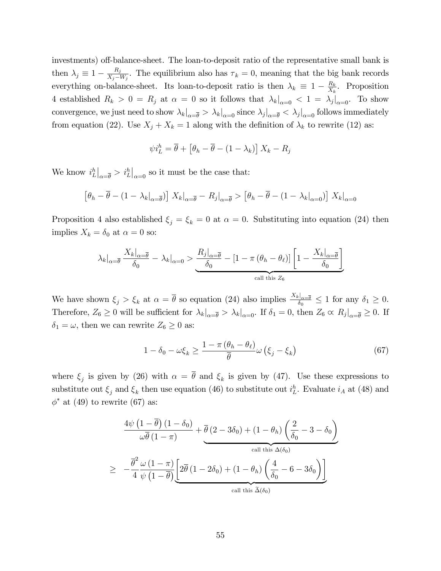investments) off-balance-sheet. The loan-to-deposit ratio of the representative small bank is then  $\lambda_j \equiv 1 - \frac{R_j}{X_j - 1}$  $\frac{K_j}{X_j-W_j}$ . The equilibrium also has  $\tau_k = 0$ , meaning that the big bank records everything on-balance-sheet. Its loan-to-deposit ratio is then  $\lambda_k \equiv 1 - \frac{R_k}{X_k}$  $\frac{R_k}{X_k}$ . Proposition 4 established  $R_k > 0 = R_j$  at  $\alpha = 0$  so it follows that  $\lambda_k|_{\alpha=0} < 1 = \lambda_j|_{\alpha=0}$ . To show convergence, we just need to show  $\lambda_k|_{\alpha=\bar{\theta}} > \lambda_k|_{\alpha=0}$  since  $\lambda_j|_{\alpha=\bar{\theta}} < \lambda_j|_{\alpha=0}$  follows immediately from equation (22). Use  $X_j + X_k = 1$  along with the definition of  $\lambda_k$  to rewrite (12) as:

$$
\psi i_L^h = \overline{\theta} + \left[\theta_h - \overline{\theta} - (1 - \lambda_k)\right] X_k - R_j
$$

We know  $i_L^h\big|_{\alpha=\overline{\theta}} > i_L^h\big|_{\alpha=0}$  so it must be the case that:

$$
\left[\theta_h - \overline{\theta} - (1 - \lambda_k|_{\alpha = \overline{\theta}})\right] X_k|_{\alpha = \overline{\theta}} - R_j|_{\alpha = \overline{\theta}} > \left[\theta_h - \overline{\theta} - (1 - \lambda_k|_{\alpha = 0})\right] X_k|_{\alpha = 0}
$$

Proposition 4 also established  $\xi_i = \xi_k = 0$  at  $\alpha = 0$ . Substituting into equation (24) then implies  $X_k = \delta_0$  at  $\alpha = 0$  so:

$$
\lambda_k|_{\alpha=\overline{\theta}} \frac{X_k|_{\alpha=\overline{\theta}}}{\delta_0} - \lambda_k|_{\alpha=0} > \underbrace{\frac{R_j|_{\alpha=\overline{\theta}}}{\delta_0} - [1 - \pi (\theta_h - \theta_\ell)] \left[1 - \frac{X_k|_{\alpha=\overline{\theta}}}{\delta_0}\right]}_{\text{call this } Z_6}
$$

We have shown  $\xi_j > \xi_k$  at  $\alpha = \bar{\theta}$  so equation (24) also implies  $\frac{X_k|_{\alpha = \bar{\theta}}}{\delta_0} \le 1$  for any  $\delta_1 \ge 0$ . Therefore,  $Z_6 \ge 0$  will be sufficient for  $\lambda_k|_{\alpha=\bar{\theta}} > \lambda_k|_{\alpha=0}$ . If  $\delta_1 = 0$ , then  $Z_6 \propto R_j|_{\alpha=\bar{\theta}} \ge 0$ . If  $\delta_1 = \omega,$  then we can rewrite  $Z_6 \geq 0$  as:

$$
1 - \delta_0 - \omega \xi_k \ge \frac{1 - \pi (\theta_h - \theta_\ell)}{\overline{\theta}} \omega (\xi_j - \xi_k)
$$
 (67)

where  $\xi_j$  is given by (26) with  $\alpha = \theta$  and  $\xi_k$  is given by (47). Use these expressions to substitute out  $\xi_j$  and  $\xi_k$  then use equation (46) to substitute out  $i_L^h$ . Evaluate  $i_A$  at (48) and  $\phi^*$  at (49) to rewrite (67) as:

$$
\frac{4\psi\left(1-\overline{\theta}\right)(1-\delta_0)}{\omega\overline{\theta}(1-\pi)} + \frac{\overline{\theta}(2-3\delta_0) + (1-\theta_h)\left(\frac{2}{\delta_0} - 3 - \delta_0\right)}{\text{call this }\Delta(\delta_0)}
$$
\n
$$
\geq -\frac{\overline{\theta}^2}{4}\frac{\omega\left(1-\pi\right)}{\psi\left(1-\overline{\theta}\right)}\underbrace{\left[2\overline{\theta}\left(1-2\delta_0\right) + \left(1-\theta_h\right)\left(\frac{4}{\delta_0} - 6 - 3\delta_0\right)\right]}_{\text{call this }\widetilde{\Delta}(\delta_0)}
$$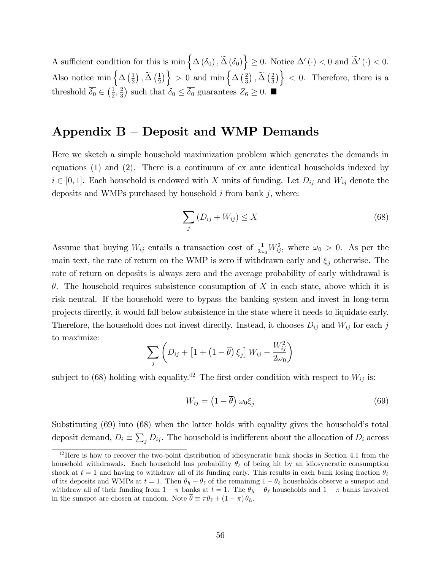A sufficient condition for this is  $\min \{ \Delta (\delta_0), \tilde{\Delta} (\delta_0) \} \geq 0$ . Notice  $\Delta' (\cdot) < 0$  and  $\tilde{\Delta}' (\cdot) < 0$ . Also notice min  $\left\{ \Delta \left( \frac{1}{2} \right) \right\}$  $\frac{1}{2}$ ),  $\widetilde{\Delta}$   $\left(\frac{1}{2}\right)$  $\left\{\frac{1}{2}\right\}$  > 0 and min  $\left\{\Delta\left(\frac{2}{3}\right)\right\}$  $(\frac{2}{3})$  ,  $\widetilde{\Delta}$   $(\frac{2}{3})$  $\left\{\frac{2}{3}\right\}$  < 0. Therefore, there is a threshold  $\overline{\delta_0} \in \left(\frac{1}{2}\right)$  $\frac{1}{2}, \frac{2}{3}$  $(\frac{2}{3})$  such that  $\delta_0 \leq \overline{\delta_0}$  guarantees  $Z_6 \geq 0$ .

# Appendix  $B -$  Deposit and WMP Demands

Here we sketch a simple household maximization problem which generates the demands in equations (1) and (2). There is a continuum of ex ante identical households indexed by  $i \in [0, 1]$ . Each household is endowed with X units of funding. Let  $D_{ij}$  and  $W_{ij}$  denote the deposits and WMPs purchased by household  $i$  from bank  $j$ , where:

$$
\sum_{j} \left( D_{ij} + W_{ij} \right) \le X \tag{68}
$$

Assume that buying  $W_{ij}$  entails a transaction cost of  $\frac{1}{2\omega_0}W_{ij}^2$ , where  $\omega_0 > 0$ . As per the main text, the rate of return on the WMP is zero if withdrawn early and  $\xi_i$  otherwise. The rate of return on deposits is always zero and the average probability of early withdrawal is  $\theta$ . The household requires subsistence consumption of X in each state, above which it is risk neutral. If the household were to bypass the banking system and invest in long-term projects directly, it would fall below subsistence in the state where it needs to liquidate early. Therefore, the household does not invest directly. Instead, it chooses  $D_{ij}$  and  $W_{ij}$  for each j to maximize:

$$
\sum_{j} \left( D_{ij} + \left[ 1 + \left( 1 - \overline{\theta} \right) \xi_j \right] W_{ij} - \frac{W_{ij}^2}{2\omega_0} \right)
$$

subject to (68) holding with equality.<sup>42</sup> The first order condition with respect to  $W_{ij}$  is:

$$
W_{ij} = \left(1 - \overline{\theta}\right)\omega_0 \xi_j \tag{69}
$$

Substituting  $(69)$  into  $(68)$  when the latter holds with equality gives the household's total deposit demand,  $D_i \equiv \sum_j D_{ij}$ . The household is indifferent about the allocation of  $D_i$  across

<sup>&</sup>lt;sup>42</sup>Here is how to recover the two-point distribution of idiosyncratic bank shocks in Section 4.1 from the household withdrawals. Each household has probability  $\theta_{\ell}$  of being hit by an idiosyncratic consumption shock at  $t = 1$  and having to withdraw all of its funding early. This results in each bank losing fraction  $\theta_{\ell}$ of its deposits and WMPs at  $t = 1$ . Then  $\theta_h - \theta_\ell$  of the remaining  $1 - \theta_\ell$  households observe a sunspot and withdraw all of their funding from  $1 - \pi$  banks at  $t = 1$ . The  $\theta_h - \theta_\ell$  households and  $1 - \pi$  banks involved in the sunspot are chosen at random. Note  $\bar{\theta} \equiv \pi \theta_{\ell} + (1 - \pi) \theta_h$ .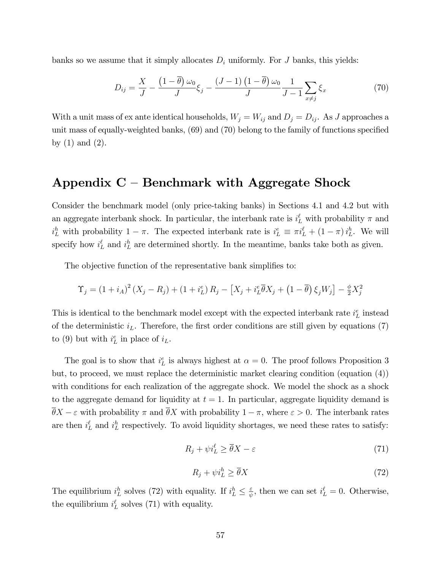banks so we assume that it simply allocates  $D_i$  uniformly. For J banks, this yields:

$$
D_{ij} = \frac{X}{J} - \frac{\left(1 - \overline{\theta}\right)\omega_0}{J}\xi_j - \frac{\left(J - 1\right)\left(1 - \overline{\theta}\right)\omega_0}{J}\frac{1}{J - 1}\sum_{x \neq j}\xi_x\tag{70}
$$

With a unit mass of ex ante identical households,  $W_j = W_{ij}$  and  $D_j = D_{ij}$ . As J approaches a unit mass of equally-weighted banks,  $(69)$  and  $(70)$  belong to the family of functions specified by  $(1)$  and  $(2)$ .

### Appendix  $C$  – Benchmark with Aggregate Shock

Consider the benchmark model (only price-taking banks) in Sections 4.1 and 4.2 but with an aggregate interbank shock. In particular, the interbank rate is  $i_L^{\ell}$  with probability  $\pi$  and  $i_L^h$  with probability  $1 - \pi$ . The expected interbank rate is  $i_L^e \equiv \pi i_L^{\ell} + (1 - \pi) i_L^h$ . We will specify how  $i_L^{\ell}$  and  $i_L^h$  are determined shortly. In the meantime, banks take both as given.

The objective function of the representative bank simplifies to:

$$
\Upsilon_j = (1 + i_A)^2 (X_j - R_j) + (1 + i_L^e) R_j - [X_j + i_L^e \overline{\theta} X_j + (1 - \overline{\theta}) \xi_j W_j] - \frac{\phi}{2} X_j^2
$$

This is identical to the benchmark model except with the expected interbank rate  $i_L^e$  instead of the deterministic  $i_L$ . Therefore, the first order conditions are still given by equations (7) to (9) but with  $i_L^e$  in place of  $i_L$ .

The goal is to show that  $i_L^e$  is always highest at  $\alpha = 0$ . The proof follows Proposition 3 but, to proceed, we must replace the deterministic market clearing condition (equation (4)) with conditions for each realization of the aggregate shock. We model the shock as a shock to the aggregate demand for liquidity at  $t = 1$ . In particular, aggregate liquidity demand is  $\overline{\theta}X - \varepsilon$  with probability  $\pi$  and  $\overline{\theta}X$  with probability  $1 - \pi$ , where  $\varepsilon > 0$ . The interbank rates are then  $i_L^{\ell}$  and  $i_L^h$  respectively. To avoid liquidity shortages, we need these rates to satisfy:

$$
R_j + \psi i_L^{\ell} \ge \overline{\theta} X - \varepsilon \tag{71}
$$

$$
R_j + \psi i_L^h \ge \overline{\theta} X \tag{72}
$$

The equilibrium  $i_L^h$  solves (72) with equality. If  $i_L^h \leq \frac{\varepsilon}{\psi}$  $\frac{\varepsilon}{\psi}$ , then we can set  $i_L^{\ell} = 0$ . Otherwise, the equilibrium  $i_L^{\ell}$  solves (71) with equality.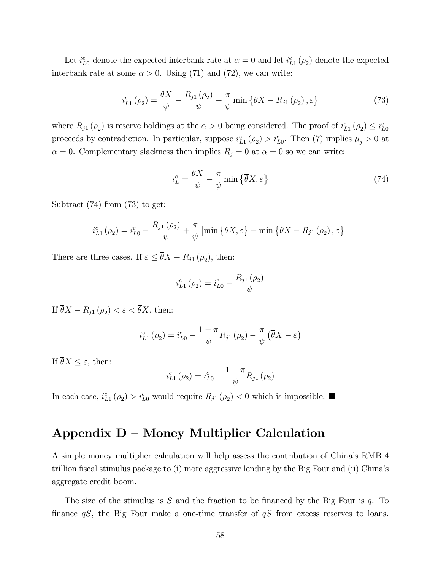Let  $i_{L0}^e$  denote the expected interbank rate at  $\alpha = 0$  and let  $i_{L1}^e(\rho_2)$  denote the expected interbank rate at some  $\alpha > 0$ . Using (71) and (72), we can write:

$$
i_{L1}^{e}(\rho_2) = \frac{\overline{\theta}X}{\psi} - \frac{R_{j1}(\rho_2)}{\psi} - \frac{\pi}{\psi} \min \{ \overline{\theta}X - R_{j1}(\rho_2), \varepsilon \}
$$
(73)

where  $R_{j1}(\rho_2)$  is reserve holdings at the  $\alpha > 0$  being considered. The proof of  $i_{L_1}^e(\rho_2) \leq i_{L_0}^e$ proceeds by contradiction. In particular, suppose  $i_{L_1}^e(\rho_2) > i_{L_0}^e$ . Then (7) implies  $\mu_j > 0$  at  $\alpha = 0$ . Complementary slackness then implies  $R_j = 0$  at  $\alpha = 0$  so we can write:

$$
i_L^e = \frac{\theta X}{\psi} - \frac{\pi}{\psi} \min \{ \overline{\theta} X, \varepsilon \}
$$
 (74)

Subtract (74) from (73) to get:

$$
i_{L1}^{e}(\rho_2) = i_{L0}^{e} - \frac{R_{j1}(\rho_2)}{\psi} + \frac{\pi}{\psi} \left[ \min \left\{ \overline{\theta} X, \varepsilon \right\} - \min \left\{ \overline{\theta} X - R_{j1}(\rho_2), \varepsilon \right\} \right]
$$

There are three cases. If  $\varepsilon \leq \theta X - R_{j1} (\rho_2)$ , then:

$$
i_{L1}^{e}(\rho_2) = i_{L0}^{e} - \frac{R_{j1}(\rho_2)}{\psi}
$$

If  $\theta X - R_{j1} (\rho_2) < \varepsilon < \theta X$ , then:

$$
i_{L1}^{e}(\rho_2) = i_{L0}^{e} - \frac{1-\pi}{\psi} R_{j1}(\rho_2) - \frac{\pi}{\psi} (\overline{\theta}X - \varepsilon)
$$

If  $\overline{\theta}X \leq \varepsilon$ , then:

$$
i_{L1}^{e}(\rho_2) = i_{L0}^{e} - \frac{1 - \pi}{\psi} R_{j1}(\rho_2)
$$

In each case,  $i_{L_1}^e(\rho_2) > i_{L_0}^e$  would require  $R_{j1}(\rho_2) < 0$  which is impossible.

### Appendix  $D -$  Money Multiplier Calculation

A simple money multiplier calculation will help assess the contribution of Chinaís RMB 4 trillion fiscal stimulus package to (i) more aggressive lending by the Big Four and (ii) China's aggregate credit boom.

The size of the stimulus is S and the fraction to be financed by the Big Four is q. To finance  $qS$ , the Big Four make a one-time transfer of  $qS$  from excess reserves to loans.